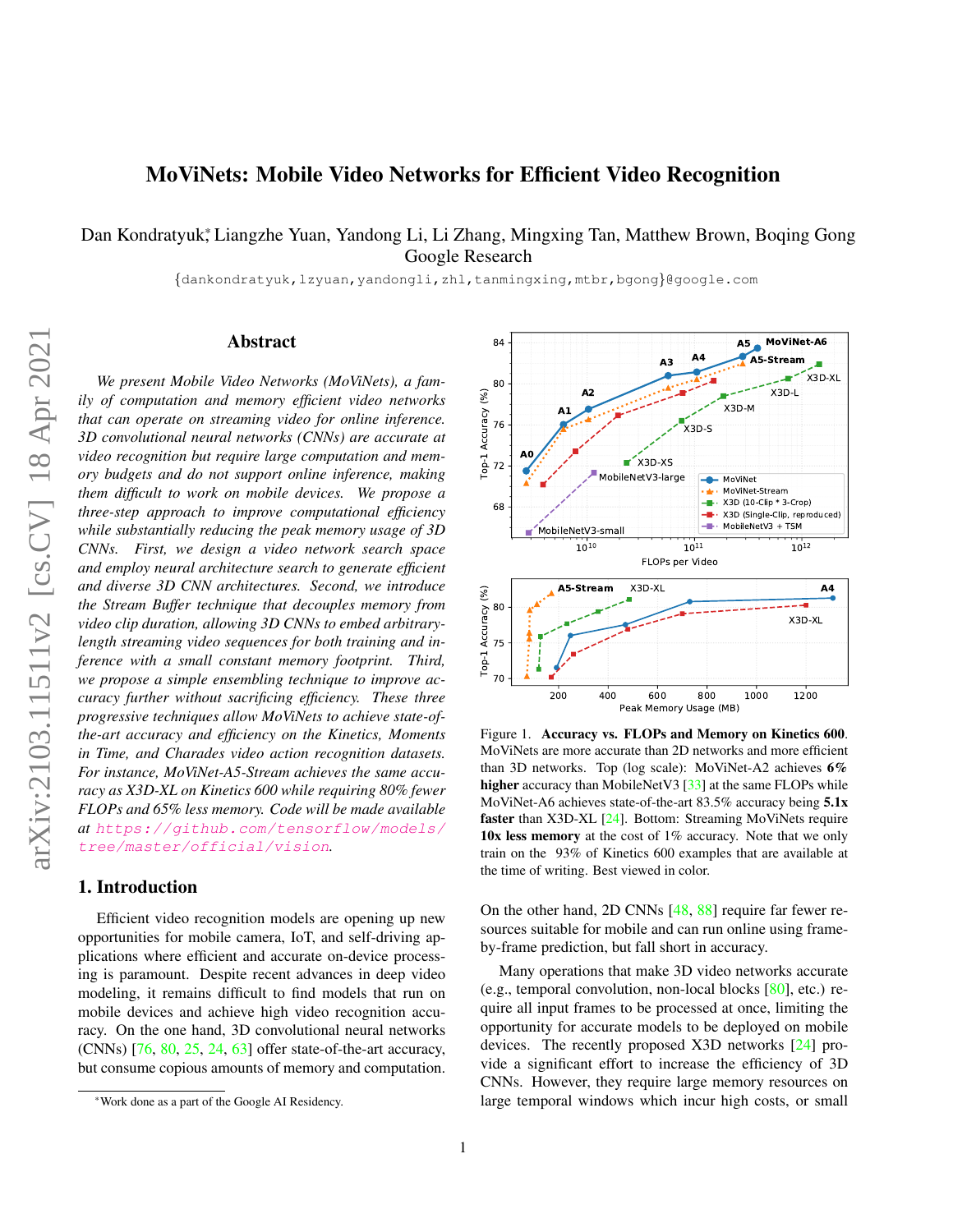# <span id="page-0-1"></span>MoViNets: Mobile Video Networks for Efficient Video Recognition

Dan Kondratyuk\*, Liangzhe Yuan, Yandong Li, Li Zhang, Mingxing Tan, Matthew Brown, Boqing Gong Google Research

{dankondratyuk,lzyuan,yandongli,zhl,tanmingxing,mtbr,bgong}@google.com

# Abstract

*We present Mobile Video Networks (MoViNets), a family of computation and memory efficient video networks that can operate on streaming video for online inference. 3D convolutional neural networks (CNNs) are accurate at video recognition but require large computation and memory budgets and do not support online inference, making them difficult to work on mobile devices. We propose a three-step approach to improve computational efficiency while substantially reducing the peak memory usage of 3D CNNs. First, we design a video network search space and employ neural architecture search to generate efficient and diverse 3D CNN architectures. Second, we introduce the Stream Buffer technique that decouples memory from video clip duration, allowing 3D CNNs to embed arbitrarylength streaming video sequences for both training and inference with a small constant memory footprint. Third, we propose a simple ensembling technique to improve accuracy further without sacrificing efficiency. These three progressive techniques allow MoViNets to achieve state-ofthe-art accuracy and efficiency on the Kinetics, Moments in Time, and Charades video action recognition datasets. For instance, MoViNet-A5-Stream achieves the same accuracy as X3D-XL on Kinetics 600 while requiring 80% fewer FLOPs and 65% less memory. Code will be made available at* [https://github.com/tensorflow/models/](https://github.com/tensorflow/models/tree/master/official/vision) [tree/master/official/vision](https://github.com/tensorflow/models/tree/master/official/vision)*.*

### 1. Introduction

Efficient video recognition models are opening up new opportunities for mobile camera, IoT, and self-driving applications where efficient and accurate on-device processing is paramount. Despite recent advances in deep video modeling, it remains difficult to find models that run on mobile devices and achieve high video recognition accuracy. On the one hand, 3D convolutional neural networks (CNNs) [\[76,](#page-11-0) [80,](#page-11-1) [25,](#page-9-0) [24,](#page-9-1) [63\]](#page-10-0) offer state-of-the-art accuracy, but consume copious amounts of memory and computation.



<span id="page-0-0"></span>Figure 1. Accuracy vs. FLOPs and Memory on Kinetics 600. MoViNets are more accurate than 2D networks and more efficient than 3D networks. Top (log scale): MoViNet-A2 achieves 6% higher accuracy than MobileNetV3 [\[33\]](#page-9-2) at the same FLOPs while MoViNet-A6 achieves state-of-the-art 83.5% accuracy being 5.1x faster than X3D-XL [\[24\]](#page-9-1). Bottom: Streaming MoViNets require 10x less memory at the cost of 1% accuracy. Note that we only train on the 93% of Kinetics 600 examples that are available at the time of writing. Best viewed in color.

On the other hand, 2D CNNs [\[48,](#page-10-1) [88\]](#page-11-2) require far fewer resources suitable for mobile and can run online using frameby-frame prediction, but fall short in accuracy.

Many operations that make 3D video networks accurate (e.g., temporal convolution, non-local blocks [\[80\]](#page-11-1), etc.) require all input frames to be processed at once, limiting the opportunity for accurate models to be deployed on mobile devices. The recently proposed X3D networks [\[24\]](#page-9-1) provide a significant effort to increase the efficiency of 3D CNNs. However, they require large memory resources on large temporal windows which incur high costs, or small

arXiv:2103.11511v2 [cs.CV] 18 Apr 2021 arXiv:2103.11511v2 [cs.CV] 18 Apr 2021

<sup>\*</sup>Work done as a part of the Google AI Residency.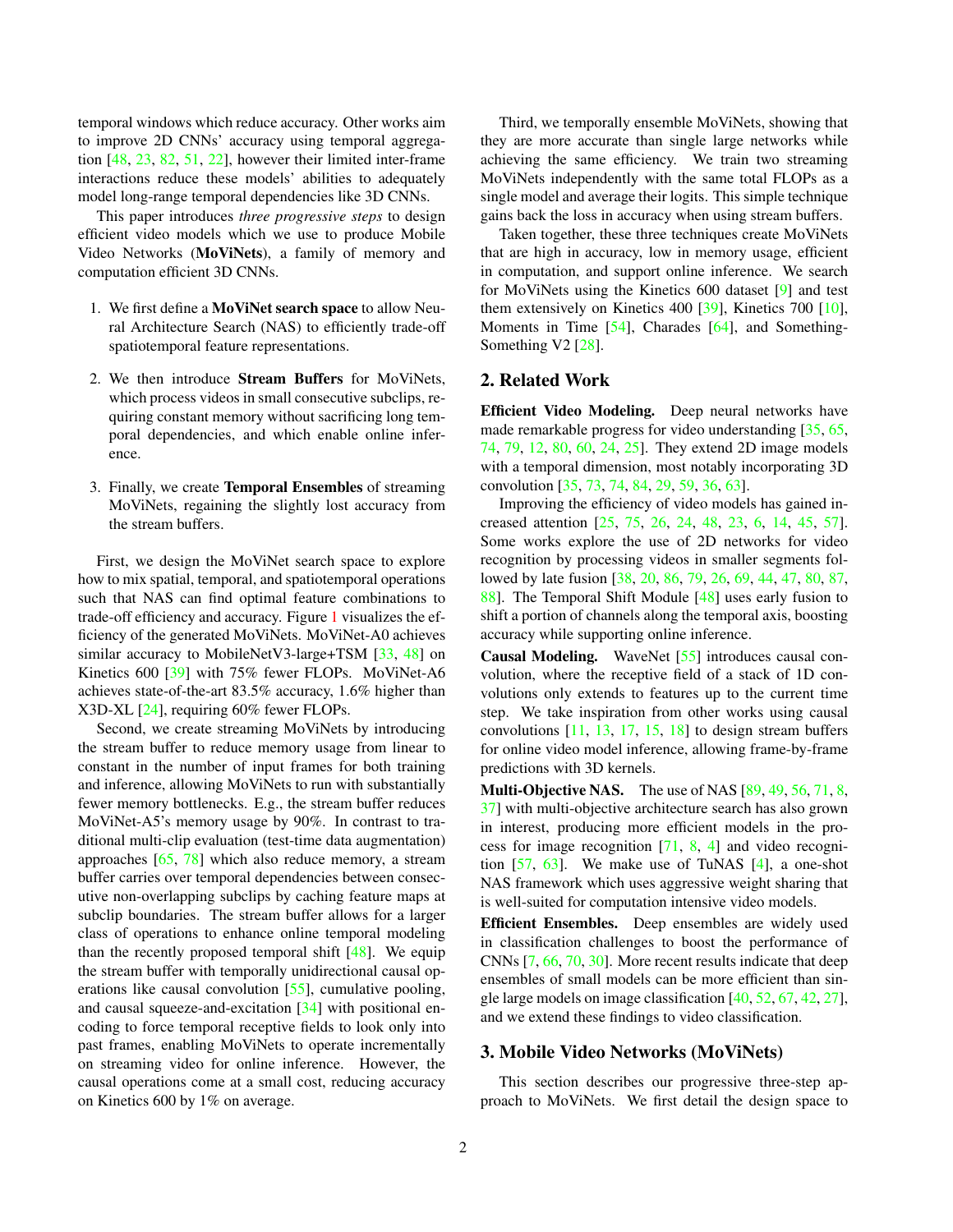<span id="page-1-0"></span>temporal windows which reduce accuracy. Other works aim to improve 2D CNNs' accuracy using temporal aggregation [\[48,](#page-10-1) [23,](#page-9-3) [82,](#page-11-3) [51,](#page-10-2) [22\]](#page-9-4), however their limited inter-frame interactions reduce these models' abilities to adequately model long-range temporal dependencies like 3D CNNs.

This paper introduces *three progressive steps* to design efficient video models which we use to produce Mobile Video Networks (MoViNets), a family of memory and computation efficient 3D CNNs.

- 1. We first define a MoViNet search space to allow Neural Architecture Search (NAS) to efficiently trade-off spatiotemporal feature representations.
- 2. We then introduce Stream Buffers for MoViNets, which process videos in small consecutive subclips, requiring constant memory without sacrificing long temporal dependencies, and which enable online inference.
- 3. Finally, we create Temporal Ensembles of streaming MoViNets, regaining the slightly lost accuracy from the stream buffers.

First, we design the MoViNet search space to explore how to mix spatial, temporal, and spatiotemporal operations such that NAS can find optimal feature combinations to trade-off efficiency and accuracy. Figure [1](#page-0-0) visualizes the efficiency of the generated MoViNets. MoViNet-A0 achieves similar accuracy to MobileNetV3-large+TSM [\[33,](#page-9-2) [48\]](#page-10-1) on Kinetics 600 [\[39\]](#page-10-3) with 75% fewer FLOPs. MoViNet-A6 achieves state-of-the-art 83.5% accuracy, 1.6% higher than X3D-XL [\[24\]](#page-9-1), requiring 60% fewer FLOPs.

Second, we create streaming MoViNets by introducing the stream buffer to reduce memory usage from linear to constant in the number of input frames for both training and inference, allowing MoViNets to run with substantially fewer memory bottlenecks. E.g., the stream buffer reduces MoViNet-A5's memory usage by 90%. In contrast to traditional multi-clip evaluation (test-time data augmentation) approaches [\[65,](#page-11-4) [78\]](#page-11-5) which also reduce memory, a stream buffer carries over temporal dependencies between consecutive non-overlapping subclips by caching feature maps at subclip boundaries. The stream buffer allows for a larger class of operations to enhance online temporal modeling than the recently proposed temporal shift  $[48]$ . We equip the stream buffer with temporally unidirectional causal operations like causal convolution [\[55\]](#page-10-4), cumulative pooling, and causal squeeze-and-excitation [\[34\]](#page-9-5) with positional encoding to force temporal receptive fields to look only into past frames, enabling MoViNets to operate incrementally on streaming video for online inference. However, the causal operations come at a small cost, reducing accuracy on Kinetics 600 by 1% on average.

Third, we temporally ensemble MoViNets, showing that they are more accurate than single large networks while achieving the same efficiency. We train two streaming MoViNets independently with the same total FLOPs as a single model and average their logits. This simple technique gains back the loss in accuracy when using stream buffers.

Taken together, these three techniques create MoViNets that are high in accuracy, low in memory usage, efficient in computation, and support online inference. We search for MoViNets using the Kinetics 600 dataset [\[9\]](#page-8-0) and test them extensively on Kinetics 400 [\[39\]](#page-10-3), Kinetics 700 [\[10\]](#page-8-1), Moments in Time [\[54\]](#page-10-5), Charades [\[64\]](#page-10-6), and Something-Something V2 [\[28\]](#page-9-6).

# 2. Related Work

Efficient Video Modeling. Deep neural networks have made remarkable progress for video understanding [\[35,](#page-9-7) [65,](#page-11-4) [74,](#page-11-6) [79,](#page-11-7) [12,](#page-9-8) [80,](#page-11-1) [60,](#page-10-7) [24,](#page-9-1) [25\]](#page-9-0). They extend 2D image models with a temporal dimension, most notably incorporating 3D convolution [\[35,](#page-9-7) [73,](#page-11-8) [74,](#page-11-6) [84,](#page-11-9) [29,](#page-9-9) [59,](#page-10-8) [36,](#page-9-10) [63\]](#page-10-0).

Improving the efficiency of video models has gained increased attention [\[25,](#page-9-0) [75,](#page-11-10) [26,](#page-9-11) [24,](#page-9-1) [48,](#page-10-1) [23,](#page-9-3) [6,](#page-8-2) [14,](#page-9-12) [45,](#page-10-9) [57\]](#page-10-10). Some works explore the use of 2D networks for video recognition by processing videos in smaller segments followed by late fusion [\[38,](#page-10-11) [20,](#page-9-13) [86,](#page-11-11) [79,](#page-11-7) [26,](#page-9-11) [69,](#page-11-12) [44,](#page-10-12) [47,](#page-10-13) [80,](#page-11-1) [87,](#page-11-13) [88\]](#page-11-2). The Temporal Shift Module [\[48\]](#page-10-1) uses early fusion to shift a portion of channels along the temporal axis, boosting accuracy while supporting online inference.

Causal Modeling. WaveNet [\[55\]](#page-10-4) introduces causal convolution, where the receptive field of a stack of 1D convolutions only extends to features up to the current time step. We take inspiration from other works using causal convolutions  $[11, 13, 17, 15, 18]$  $[11, 13, 17, 15, 18]$  $[11, 13, 17, 15, 18]$  $[11, 13, 17, 15, 18]$  $[11, 13, 17, 15, 18]$  $[11, 13, 17, 15, 18]$  $[11, 13, 17, 15, 18]$  $[11, 13, 17, 15, 18]$  $[11, 13, 17, 15, 18]$  to design stream buffers for online video model inference, allowing frame-by-frame predictions with 3D kernels.

**Multi-Objective NAS.** The use of NAS  $[89, 49, 56, 71, 8, 10]$  $[89, 49, 56, 71, 8, 10]$  $[89, 49, 56, 71, 8, 10]$  $[89, 49, 56, 71, 8, 10]$  $[89, 49, 56, 71, 8, 10]$  $[89, 49, 56, 71, 8, 10]$  $[89, 49, 56, 71, 8, 10]$  $[89, 49, 56, 71, 8, 10]$  $[89, 49, 56, 71, 8, 10]$  $[89, 49, 56, 71, 8, 10]$ [37\]](#page-9-18) with multi-objective architecture search has also grown in interest, producing more efficient models in the process for image recognition [\[71,](#page-11-15) [8,](#page-8-4) [4\]](#page-8-5) and video recognition  $[57, 63]$  $[57, 63]$  $[57, 63]$ . We make use of TuNAS  $[4]$ , a one-shot NAS framework which uses aggressive weight sharing that is well-suited for computation intensive video models.

Efficient Ensembles. Deep ensembles are widely used in classification challenges to boost the performance of CNNs [\[7,](#page-8-6) [66,](#page-11-16) [70,](#page-11-17) [30\]](#page-9-19). More recent results indicate that deep ensembles of small models can be more efficient than single large models on image classification [\[40,](#page-10-16) [52,](#page-10-17) [67,](#page-11-18) [42,](#page-10-18) [27\]](#page-9-20), and we extend these findings to video classification.

# 3. Mobile Video Networks (MoViNets)

This section describes our progressive three-step approach to MoViNets. We first detail the design space to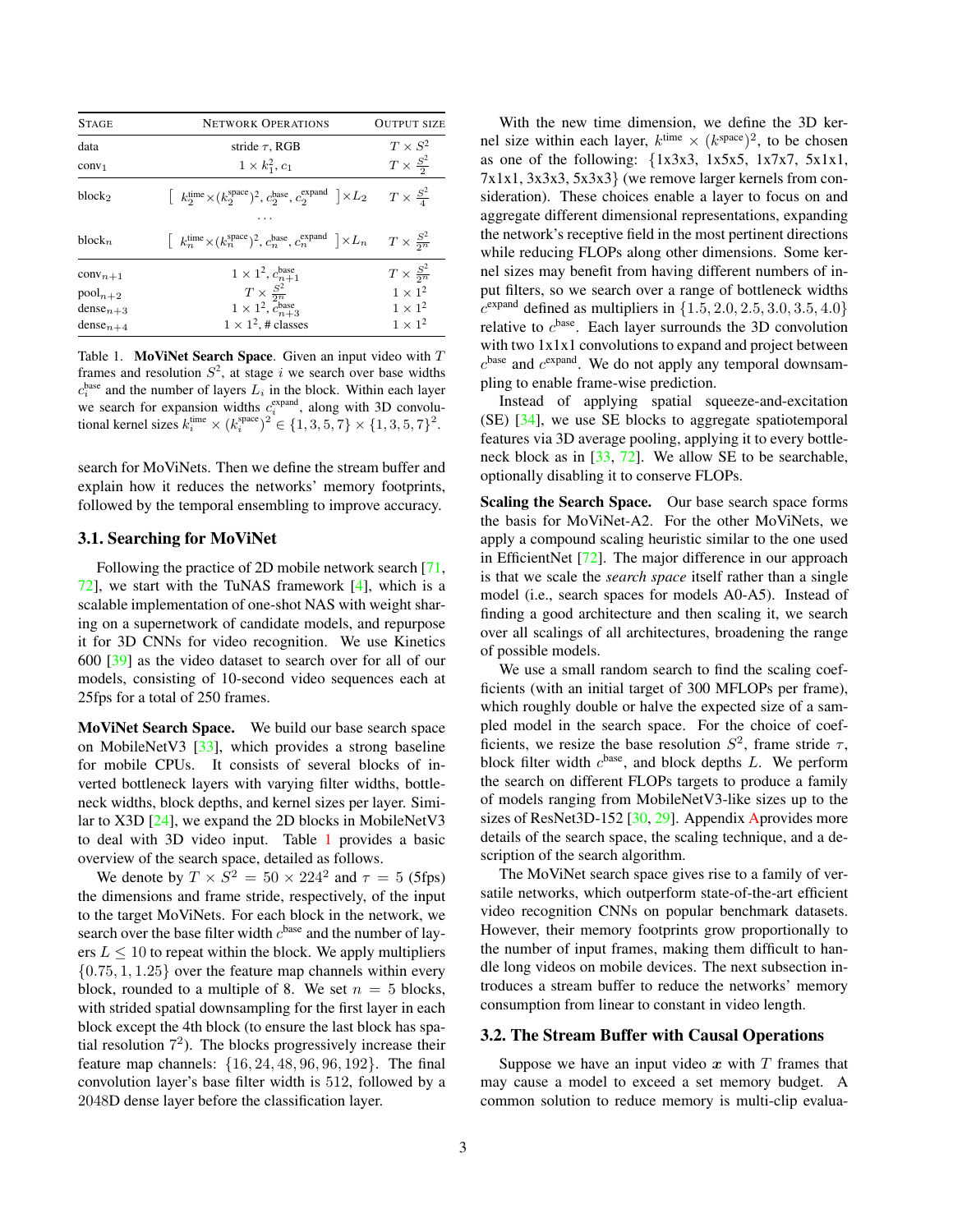<span id="page-2-1"></span>

| <b>STAGE</b>       | <b>NETWORK OPERATIONS</b>                                                                                                 | <b>OUTPUT SIZE</b>        |
|--------------------|---------------------------------------------------------------------------------------------------------------------------|---------------------------|
| data               | stride $\tau$ , RGB                                                                                                       | $T \times S^2$            |
| conv <sub>1</sub>  | $1 \times k_1^2, c_1$                                                                                                     | $T \times \frac{S^2}{2}$  |
| block <sub>2</sub> | $\left[k_2^{\text{time}}\times (k_2^{\text{space}})^2, c_2^{\text{base}}, c_2^{\text{expand}}\right]\times L_2$           | $T \times \frac{S^2}{4}$  |
| $block_{n}$        | $\left[k_n^{\text{time}}\times(k_n^{\text{space}})^2, c_n^{\text{base}}, c_n^{\text{expand}}\right]\times L_n$            | $T \times \frac{S^2}{2n}$ |
| $conv_{n+1}$       |                                                                                                                           | $T \times \frac{S^2}{2n}$ |
| $pool_{n+2}$       | $\begin{array}{c} 1\times1^2,\,c^{\rm base}_{n+1}\\ T\times\frac{S^2}{2^n}\\ 1\times1^2,\,c^{\rm base}_{n+3} \end{array}$ | $1\times1^2$              |
| $dense_{n+3}$      |                                                                                                                           | $1 \times 1^2$            |
| $dense_{n+4}$      | $1 \times 1^2$ , # classes                                                                                                | $1 \times 1^2$            |

<span id="page-2-0"></span>Table 1. MoViNet Search Space. Given an input video with  $T$ frames and resolution  $S^2$ , at stage i we search over base widths  $c_i^{\text{base}}$  and the number of layers  $L_i$  in the block. Within each layer we search for expansion widths  $c_i^{\text{expand}}$ , along with 3D convolutional kernel sizes  $k_i^{\text{time}} \times (k_i^{\text{space}})^2 \in \{1, 3, 5, 7\} \times \{1, 3, 5, 7\}^2$ .

search for MoViNets. Then we define the stream buffer and explain how it reduces the networks' memory footprints, followed by the temporal ensembling to improve accuracy.

# 3.1. Searching for MoViNet

Following the practice of 2D mobile network search [\[71,](#page-11-15)  $72$ , we start with the TuNAS framework [\[4\]](#page-8-5), which is a scalable implementation of one-shot NAS with weight sharing on a supernetwork of candidate models, and repurpose it for 3D CNNs for video recognition. We use Kinetics 600 [\[39\]](#page-10-3) as the video dataset to search over for all of our models, consisting of 10-second video sequences each at 25fps for a total of 250 frames.

MoViNet Search Space. We build our base search space on MobileNetV3 [\[33\]](#page-9-2), which provides a strong baseline for mobile CPUs. It consists of several blocks of inverted bottleneck layers with varying filter widths, bottleneck widths, block depths, and kernel sizes per layer. Similar to X3D [\[24\]](#page-9-1), we expand the 2D blocks in MobileNetV3 to deal with 3D video input. Table [1](#page-2-0) provides a basic overview of the search space, detailed as follows.

We denote by  $T \times S^2 = 50 \times 224^2$  and  $\tau = 5$  (5fps) the dimensions and frame stride, respectively, of the input to the target MoViNets. For each block in the network, we search over the base filter width  $c^{\text{base}}$  and the number of layers  $L \leq 10$  to repeat within the block. We apply multipliers  $\{0.75, 1, 1.25\}$  over the feature map channels within every block, rounded to a multiple of 8. We set  $n = 5$  blocks, with strided spatial downsampling for the first layer in each block except the 4th block (to ensure the last block has spatial resolution 7 2 ). The blocks progressively increase their feature map channels: {16, 24, 48, 96, 96, 192}. The final convolution layer's base filter width is 512, followed by a 2048D dense layer before the classification layer.

With the new time dimension, we define the 3D kernel size within each layer,  $k^{\text{time}} \times (k^{\text{space}})^2$ , to be chosen as one of the following:  $\{1x3x3, 1x5x5, 1x7x7, 5x1x1,$ 7x1x1, 3x3x3, 5x3x3} (we remove larger kernels from consideration). These choices enable a layer to focus on and aggregate different dimensional representations, expanding the network's receptive field in the most pertinent directions while reducing FLOPs along other dimensions. Some kernel sizes may benefit from having different numbers of input filters, so we search over a range of bottleneck widths  $c^{\text{expand}}$  defined as multipliers in  $\{1.5, 2.0, 2.5, 3.0, 3.5, 4.0\}$ relative to  $c^{\text{base}}$ . Each layer surrounds the 3D convolution with two  $1x1x1$  convolutions to expand and project between  $c^{\text{base}}$  and  $c^{\text{expand}}$ . We do not apply any temporal downsampling to enable frame-wise prediction.

Instead of applying spatial squeeze-and-excitation (SE) [\[34\]](#page-9-5), we use SE blocks to aggregate spatiotemporal features via 3D average pooling, applying it to every bottleneck block as in [\[33,](#page-9-2) [72\]](#page-11-19). We allow SE to be searchable, optionally disabling it to conserve FLOPs.

Scaling the Search Space. Our base search space forms the basis for MoViNet-A2. For the other MoViNets, we apply a compound scaling heuristic similar to the one used in EfficientNet [\[72\]](#page-11-19). The major difference in our approach is that we scale the *search space* itself rather than a single model (i.e., search spaces for models A0-A5). Instead of finding a good architecture and then scaling it, we search over all scalings of all architectures, broadening the range of possible models.

We use a small random search to find the scaling coefficients (with an initial target of 300 MFLOPs per frame), which roughly double or halve the expected size of a sampled model in the search space. For the choice of coefficients, we resize the base resolution  $S^2$ , frame stride  $\tau$ , block filter width  $c^{base}$ , and block depths L. We perform the search on different FLOPs targets to produce a family of models ranging from MobileNetV3-like sizes up to the sizes of ResNet3D-152 [\[30,](#page-9-19) [29\]](#page-9-9). [Ap](#page-12-0)pendix Aprovides more details of the search space, the scaling technique, and a description of the search algorithm.

The MoViNet search space gives rise to a family of versatile networks, which outperform state-of-the-art efficient video recognition CNNs on popular benchmark datasets. However, their memory footprints grow proportionally to the number of input frames, making them difficult to handle long videos on mobile devices. The next subsection introduces a stream buffer to reduce the networks' memory consumption from linear to constant in video length.

# 3.2. The Stream Buffer with Causal Operations

Suppose we have an input video  $x$  with  $T$  frames that may cause a model to exceed a set memory budget. A common solution to reduce memory is multi-clip evalua-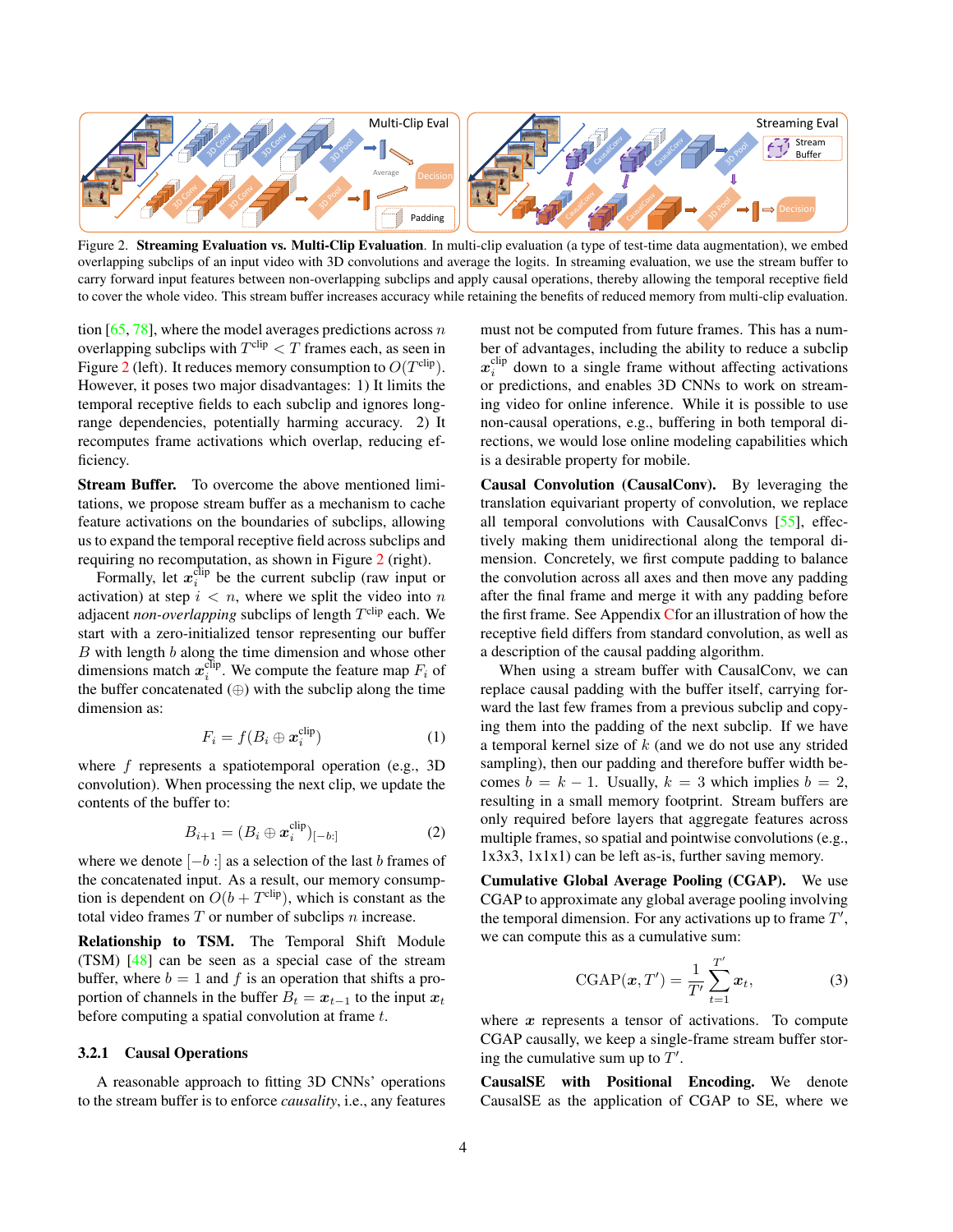<span id="page-3-1"></span>

<span id="page-3-0"></span>Figure 2. Streaming Evaluation vs. Multi-Clip Evaluation. In multi-clip evaluation (a type of test-time data augmentation), we embed overlapping subclips of an input video with 3D convolutions and average the logits. In streaming evaluation, we use the stream buffer to carry forward input features between non-overlapping subclips and apply causal operations, thereby allowing the temporal receptive field to cover the whole video. This stream buffer increases accuracy while retaining the benefits of reduced memory from multi-clip evaluation.

tion  $[65, 78]$  $[65, 78]$  $[65, 78]$ , where the model averages predictions across n overlapping subclips with  $T^{\text{clip}} < T$  frames each, as seen in Figure [2](#page-3-0) (left). It reduces memory consumption to  $O(T^{\text{clip}})$ . However, it poses two major disadvantages: 1) It limits the temporal receptive fields to each subclip and ignores longrange dependencies, potentially harming accuracy. 2) It recomputes frame activations which overlap, reducing efficiency.

Stream Buffer. To overcome the above mentioned limitations, we propose stream buffer as a mechanism to cache feature activations on the boundaries of subclips, allowing us to expand the temporal receptive field across subclips and requiring no recomputation, as shown in Figure [2](#page-3-0) (right).

Formally, let  $x_i^{\text{clip}}$  be the current subclip (raw input or activation) at step  $i < n$ , where we split the video into n adjacent *non-overlapping* subclips of length  $T^{\text{clip}}$  each. We start with a zero-initialized tensor representing our buffer  $B$  with length  $b$  along the time dimension and whose other dimensions match  $x_i^{\text{clip}}$ . We compute the feature map  $F_i$  of the buffer concatenated  $(\oplus)$  with the subclip along the time dimension as:

$$
F_i = f(B_i \oplus \boldsymbol{x}_i^{\text{clip}})
$$
 (1)

where  $f$  represents a spatiotemporal operation (e.g., 3D) convolution). When processing the next clip, we update the contents of the buffer to:

$$
B_{i+1} = (B_i \oplus \boldsymbol{x}_i^{\text{clip}})_{[-b:]}
$$
 (2)

where we denote  $[-b :]$  as a selection of the last b frames of the concatenated input. As a result, our memory consumption is dependent on  $O(b+T^{\text{clip}})$ , which is constant as the total video frames  $T$  or number of subclips  $n$  increase.

Relationship to TSM. The Temporal Shift Module (TSM) [\[48\]](#page-10-1) can be seen as a special case of the stream buffer, where  $b = 1$  and f is an operation that shifts a proportion of channels in the buffer  $B_t = x_{t-1}$  to the input  $x_t$ before computing a spatial convolution at frame  $t$ .

# 3.2.1 Causal Operations

A reasonable approach to fitting 3D CNNs' operations to the stream buffer is to enforce *causality*, i.e., any features

must not be computed from future frames. This has a number of advantages, including the ability to reduce a subclip  $x_i^{\text{clip}}$  down to a single frame without affecting activations or predictions, and enables 3D CNNs to work on streaming video for online inference. While it is possible to use non-causal operations, e.g., buffering in both temporal directions, we would lose online modeling capabilities which is a desirable property for mobile.

Causal Convolution (CausalConv). By leveraging the translation equivariant property of convolution, we replace all temporal convolutions with CausalConvs [\[55\]](#page-10-4), effectively making them unidirectional along the temporal dimension. Concretely, we first compute padding to balance the convolution across all axes and then move any padding after the final frame and merge it with any padding before the first frame. See Appendix [Cf](#page-14-0)or an illustration of how the receptive field differs from standard convolution, as well as a description of the causal padding algorithm.

When using a stream buffer with CausalConv, we can replace causal padding with the buffer itself, carrying forward the last few frames from a previous subclip and copying them into the padding of the next subclip. If we have a temporal kernel size of  $k$  (and we do not use any strided sampling), then our padding and therefore buffer width becomes  $b = k - 1$ . Usually,  $k = 3$  which implies  $b = 2$ , resulting in a small memory footprint. Stream buffers are only required before layers that aggregate features across multiple frames, so spatial and pointwise convolutions (e.g., 1x3x3, 1x1x1) can be left as-is, further saving memory.

Cumulative Global Average Pooling (CGAP). We use CGAP to approximate any global average pooling involving the temporal dimension. For any activations up to frame  $T'$ , we can compute this as a cumulative sum:

$$
\text{CGAP}(\boldsymbol{x}, T') = \frac{1}{T'} \sum_{t=1}^{T'} \boldsymbol{x}_t,\tag{3}
$$

where  $x$  represents a tensor of activations. To compute CGAP causally, we keep a single-frame stream buffer storing the cumulative sum up to  $T'$ .

CausalSE with Positional Encoding. We denote CausalSE as the application of CGAP to SE, where we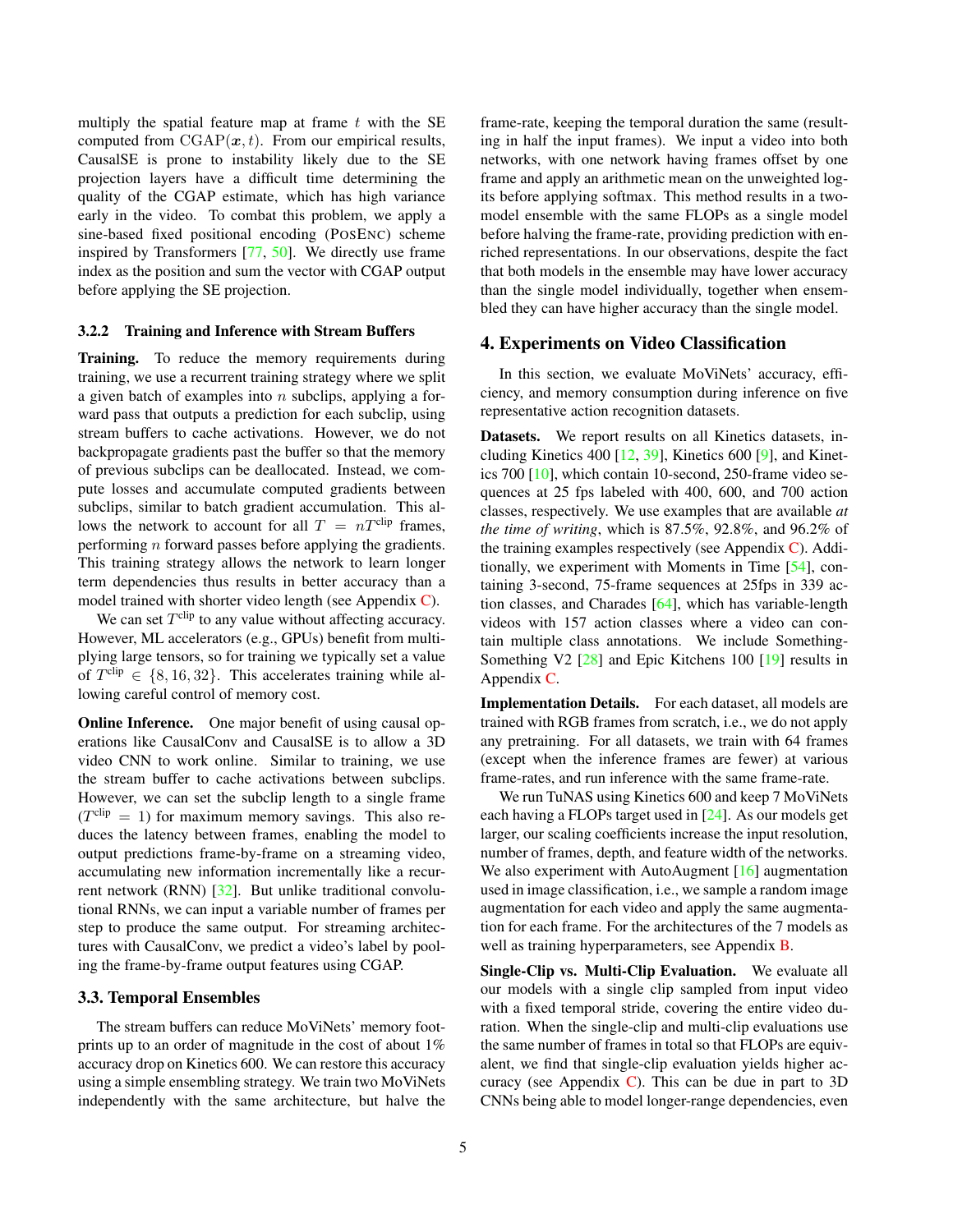<span id="page-4-0"></span>multiply the spatial feature map at frame  $t$  with the SE computed from  $CGAP(x, t)$ . From our empirical results, CausalSE is prone to instability likely due to the SE projection layers have a difficult time determining the quality of the CGAP estimate, which has high variance early in the video. To combat this problem, we apply a sine-based fixed positional encoding (POSENC) scheme inspired by Transformers [\[77,](#page-11-20) [50\]](#page-10-19). We directly use frame index as the position and sum the vector with CGAP output before applying the SE projection.

### 3.2.2 Training and Inference with Stream Buffers

Training. To reduce the memory requirements during training, we use a recurrent training strategy where we split a given batch of examples into  $n$  subclips, applying a forward pass that outputs a prediction for each subclip, using stream buffers to cache activations. However, we do not backpropagate gradients past the buffer so that the memory of previous subclips can be deallocated. Instead, we compute losses and accumulate computed gradients between subclips, similar to batch gradient accumulation. This allows the network to account for all  $T = nT^{\text{clip}}$  frames, performing n forward passes before applying the gradients. This training strategy allows the network to learn longer term dependencies thus results in better accuracy than a model trained with shorter video length (see Appendix [C\)](#page-14-0).

We can set  $T^{\text{clip}}$  to any value without affecting accuracy. However, ML accelerators (e.g., GPUs) benefit from multiplying large tensors, so for training we typically set a value of  $T^{\text{clip}} \in \{8, 16, 32\}$ . This accelerates training while allowing careful control of memory cost.

**Online Inference.** One major benefit of using causal operations like CausalConv and CausalSE is to allow a 3D video CNN to work online. Similar to training, we use the stream buffer to cache activations between subclips. However, we can set the subclip length to a single frame  $(T^{\text{clip}} = 1)$  for maximum memory savings. This also reduces the latency between frames, enabling the model to output predictions frame-by-frame on a streaming video, accumulating new information incrementally like a recurrent network (RNN) [\[32\]](#page-9-21). But unlike traditional convolutional RNNs, we can input a variable number of frames per step to produce the same output. For streaming architectures with CausalConv, we predict a video's label by pooling the frame-by-frame output features using CGAP.

### 3.3. Temporal Ensembles

The stream buffers can reduce MoViNets' memory footprints up to an order of magnitude in the cost of about 1% accuracy drop on Kinetics 600. We can restore this accuracy using a simple ensembling strategy. We train two MoViNets independently with the same architecture, but halve the frame-rate, keeping the temporal duration the same (resulting in half the input frames). We input a video into both networks, with one network having frames offset by one frame and apply an arithmetic mean on the unweighted logits before applying softmax. This method results in a twomodel ensemble with the same FLOPs as a single model before halving the frame-rate, providing prediction with enriched representations. In our observations, despite the fact that both models in the ensemble may have lower accuracy than the single model individually, together when ensembled they can have higher accuracy than the single model.

# 4. Experiments on Video Classification

In this section, we evaluate MoViNets' accuracy, efficiency, and memory consumption during inference on five representative action recognition datasets.

Datasets. We report results on all Kinetics datasets, including Kinetics 400 [\[12,](#page-9-8) [39\]](#page-10-3), Kinetics 600 [\[9\]](#page-8-0), and Kinetics 700 [\[10\]](#page-8-1), which contain 10-second, 250-frame video sequences at 25 fps labeled with 400, 600, and 700 action classes, respectively. We use examples that are available *at the time of writing*, which is 87.5%, 92.8%, and 96.2% of the training examples respectively (see Appendix [C\)](#page-14-0). Additionally, we experiment with Moments in Time [\[54\]](#page-10-5), containing 3-second, 75-frame sequences at 25fps in 339 action classes, and Charades [\[64\]](#page-10-6), which has variable-length videos with 157 action classes where a video can contain multiple class annotations. We include Something-Something V2 [\[28\]](#page-9-6) and Epic Kitchens 100 [\[19\]](#page-9-22) results in Appendix [C.](#page-14-0)

Implementation Details. For each dataset, all models are trained with RGB frames from scratch, i.e., we do not apply any pretraining. For all datasets, we train with 64 frames (except when the inference frames are fewer) at various frame-rates, and run inference with the same frame-rate.

We run TuNAS using Kinetics 600 and keep 7 MoViNets each having a FLOPs target used in [\[24\]](#page-9-1). As our models get larger, our scaling coefficients increase the input resolution, number of frames, depth, and feature width of the networks. We also experiment with AutoAugment [\[16\]](#page-9-23) augmentation used in image classification, i.e., we sample a random image augmentation for each video and apply the same augmentation for each frame. For the architectures of the 7 models as well as training hyperparameters, see Appendix **B**.

Single-Clip vs. Multi-Clip Evaluation. We evaluate all our models with a single clip sampled from input video with a fixed temporal stride, covering the entire video duration. When the single-clip and multi-clip evaluations use the same number of frames in total so that FLOPs are equivalent, we find that single-clip evaluation yields higher accuracy (see Appendix  $C$ ). This can be due in part to 3D CNNs being able to model longer-range dependencies, even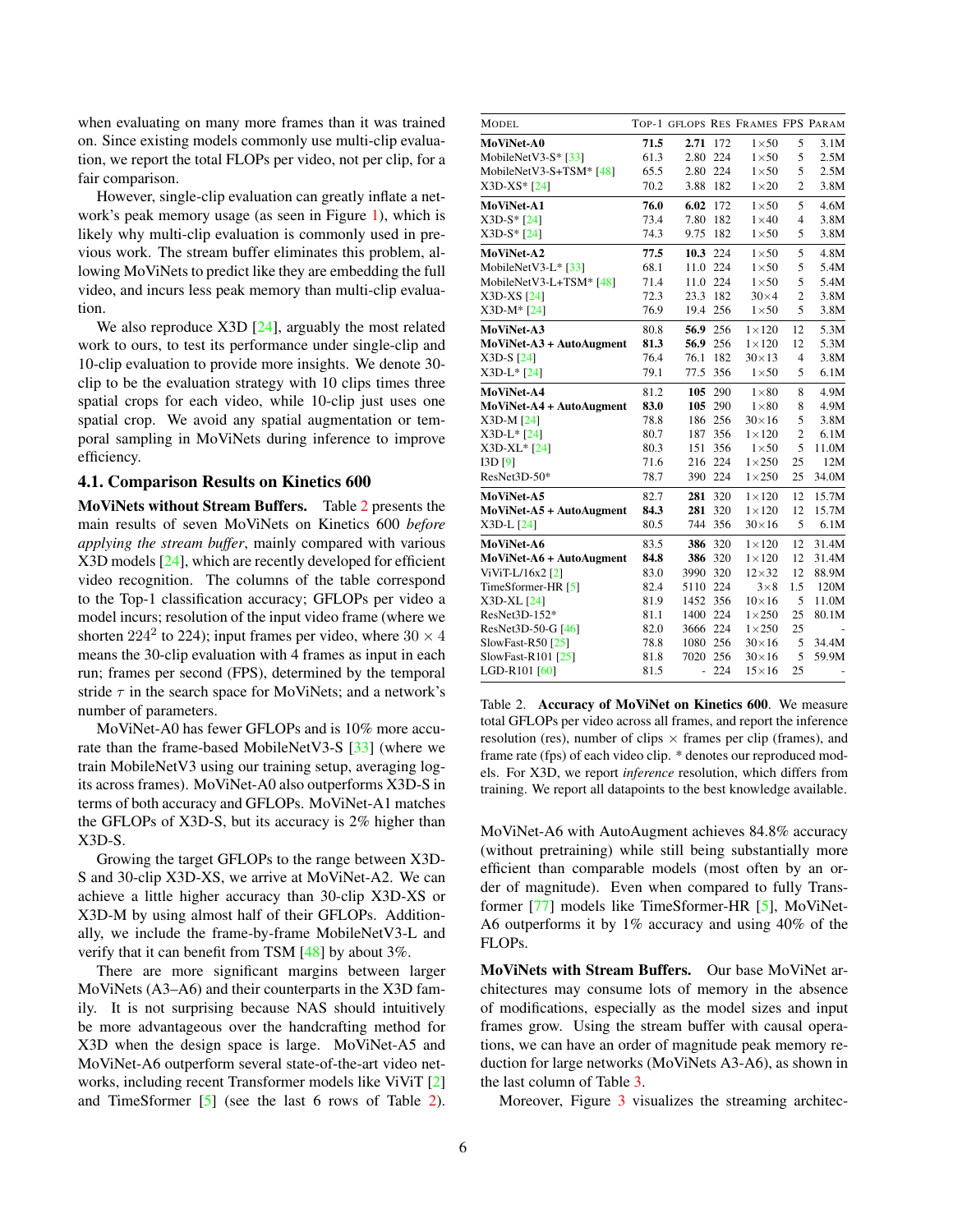<span id="page-5-1"></span>when evaluating on many more frames than it was trained on. Since existing models commonly use multi-clip evaluation, we report the total FLOPs per video, not per clip, for a fair comparison.

However, single-clip evaluation can greatly inflate a network's peak memory usage (as seen in Figure [1\)](#page-0-0), which is likely why multi-clip evaluation is commonly used in previous work. The stream buffer eliminates this problem, allowing MoViNets to predict like they are embedding the full video, and incurs less peak memory than multi-clip evaluation.

We also reproduce  $X3D$  [\[24\]](#page-9-1), arguably the most related work to ours, to test its performance under single-clip and 10-clip evaluation to provide more insights. We denote 30 clip to be the evaluation strategy with 10 clips times three spatial crops for each video, while 10-clip just uses one spatial crop. We avoid any spatial augmentation or temporal sampling in MoViNets during inference to improve efficiency.

#### 4.1. Comparison Results on Kinetics 600

MoViNets without Stream Buffers. Table [2](#page-5-0) presents the main results of seven MoViNets on Kinetics 600 *before applying the stream buffer*, mainly compared with various X3D models [\[24\]](#page-9-1), which are recently developed for efficient video recognition. The columns of the table correspond to the Top-1 classification accuracy; GFLOPs per video a model incurs; resolution of the input video frame (where we shorten 224<sup>2</sup> to 224); input frames per video, where  $30 \times 4$ means the 30-clip evaluation with 4 frames as input in each run; frames per second (FPS), determined by the temporal stride  $\tau$  in the search space for MoViNets; and a network's number of parameters.

MoViNet-A0 has fewer GFLOPs and is 10% more accurate than the frame-based MobileNetV3-S [\[33\]](#page-9-2) (where we train MobileNetV3 using our training setup, averaging logits across frames). MoViNet-A0 also outperforms X3D-S in terms of both accuracy and GFLOPs. MoViNet-A1 matches the GFLOPs of X3D-S, but its accuracy is 2% higher than X3D-S.

Growing the target GFLOPs to the range between X3D-S and 30-clip X3D-XS, we arrive at MoViNet-A2. We can achieve a little higher accuracy than 30-clip X3D-XS or X3D-M by using almost half of their GFLOPs. Additionally, we include the frame-by-frame MobileNetV3-L and verify that it can benefit from TSM [\[48\]](#page-10-1) by about 3%.

There are more significant margins between larger MoViNets (A3–A6) and their counterparts in the X3D family. It is not surprising because NAS should intuitively be more advantageous over the handcrafting method for X3D when the design space is large. MoViNet-A5 and MoViNet-A6 outperform several state-of-the-art video networks, including recent Transformer models like ViViT [\[2\]](#page-8-7) and TimeSformer [\[5\]](#page-8-8) (see the last 6 rows of Table [2\)](#page-5-0).

| <b>MODEL</b>             |      |                             |          | TOP-1 GFLOPS RES FRAMES FPS PARAM |                |       |
|--------------------------|------|-----------------------------|----------|-----------------------------------|----------------|-------|
| MoViNet-A0               | 71.5 | 2.71                        | 172      | $1\times 50$                      | 5              | 3.1M  |
| MobileNetV3-S* [33]      | 61.3 | 2.80                        | 224      | $1\times 50$                      | 5              | 2.5M  |
| MobileNetV3-S+TSM* [48]  | 65.5 |                             | 2.80 224 | $1\times 50$                      | 5              | 2.5M  |
| X3D-XS* [24]             | 70.2 | 3.88                        | 182      | $1\times 20$                      | $\overline{2}$ | 3.8M  |
| MoViNet-A1               | 76.0 | 6.02                        | 172      | $1\times 50$                      | 5              | 4.6M  |
| $X3D-S* [24]$            | 73.4 | 7.80                        | 182      | $1\times 40$                      | $\overline{4}$ | 3.8M  |
| $X3D-S*[24]$             | 74.3 | 9.75                        | 182      | $1\times 50$                      | 5              | 3.8M  |
| MoViNet-A2               | 77.5 | 10.3 224                    |          | $1\times 50$                      | 5              | 4.8M  |
| MobileNetV3-L* [33]      | 68.1 |                             | 11.0 224 | $1\times 50$                      | 5              | 5.4M  |
| MobileNetV3-L+TSM* [48]  | 71.4 |                             | 11.0 224 | $1\times 50$                      | 5              | 5.4M  |
| X3D-XS [24]              | 72.3 | 23.3                        | 182      | $30\times4$                       | $\overline{c}$ | 3.8M  |
| X3D-M* [24]              | 76.9 | 19.4                        | 256      | $1\times 50$                      | 5              | 3.8M  |
| MoViNet-A3               | 80.8 |                             | 56.9 256 | $1\times120$                      | 12             | 5.3M  |
| MoViNet-A3 + AutoAugment | 81.3 |                             | 56.9 256 | $1 \times 120$                    | 12             | 5.3M  |
| X3D-S [24]               | 76.4 | 76.1                        | 182      | $30\times13$                      | $\overline{4}$ | 3.8M  |
| X3D-L* [24]              | 79.1 |                             | 77.5 356 | $1\times 50$                      | 5              | 6.1M  |
| MoViNet-A4               | 81.2 | 105                         | 290      | $1\times80$                       | 8              | 4.9M  |
| MoViNet-A4 + AutoAugment | 83.0 | 105                         | 290      | $1\times80$                       | 8              | 4.9M  |
| $X3D-M [24]$             | 78.8 |                             | 186 256  | $30\times16$                      | 5              | 3.8M  |
| X3D-L* [24]              | 80.7 | 187                         | 356      | $1\times120$                      | $\mathbf{2}$   | 6.1M  |
| X3D-XL* [24]             | 80.3 | 151                         | 356      | $1\times 50$                      | 5              | 11.0M |
| [3D[9]                   | 71.6 | 216                         | 224      | $1\times250$                      | 25             | 12M   |
| ResNet3D-50*             | 78.7 | 390                         | 224      | $1\times250$                      | 25             | 34.0M |
| MoViNet-A5               | 82.7 | 281                         | 320      | $1\times120$                      | 12             | 15.7M |
| MoViNet-A5 + AutoAugment | 84.3 | 281                         | 320      | $1\times 120$                     | 12             | 15.7M |
| X3D-L [24]               | 80.5 | 744                         | 356      | $30\times16$                      | 5              | 6.1M  |
| MoViNet-A6               | 83.5 | 386                         | 320      | $1\times120$                      | 12             | 31.4M |
| MoViNet-A6 + AutoAugment | 84.8 | 386                         | 320      | $1\times120$                      | 12             | 31.4M |
| ViViT-L/16x2 [2]         | 83.0 | 3990 320                    |          | $12\times32$                      | 12             | 88.9M |
| TimeSformer-HR [5]       | 82.4 | 5110 224                    |          | $3\times8$                        | 1.5            | 120M  |
| X3D-XL [24]              | 81.9 | 1452 356                    |          | $10\times16$                      | 5              | 11.0M |
| ResNet3D-152*            | 81.1 | 1400 224                    |          | $1\times250$                      | 25             | 80.1M |
| ResNet3D-50-G [46]       | 82.0 | 3666 224                    |          | $1\times250$                      | 25             |       |
| SlowFast-R50 $[25]$      | 78.8 | 1080 256                    |          | $30\times16$                      | 5              | 34.4M |
| SlowFast-R101 [25]       | 81.8 | 7020                        | 256      | $30\times16$                      | 5              | 59.9M |
| LGD-R101 [60]            | 81.5 | $\mathcal{L}^{\mathcal{A}}$ | 224      | $15\times16$                      | 25             |       |

<span id="page-5-0"></span>Table 2. Accuracy of MoViNet on Kinetics 600. We measure total GFLOPs per video across all frames, and report the inference resolution (res), number of clips  $\times$  frames per clip (frames), and frame rate (fps) of each video clip. \* denotes our reproduced models. For X3D, we report *inference* resolution, which differs from training. We report all datapoints to the best knowledge available.

MoViNet-A6 with AutoAugment achieves 84.8% accuracy (without pretraining) while still being substantially more efficient than comparable models (most often by an order of magnitude). Even when compared to fully Transformer [\[77\]](#page-11-20) models like TimeSformer-HR [\[5\]](#page-8-8), MoViNet-A6 outperforms it by 1% accuracy and using 40% of the FLOPs.

MoViNets with Stream Buffers. Our base MoViNet architectures may consume lots of memory in the absence of modifications, especially as the model sizes and input frames grow. Using the stream buffer with causal operations, we can have an order of magnitude peak memory reduction for large networks (MoViNets A3-A6), as shown in the last column of Table [3.](#page-6-0)

Moreover, Figure [3](#page-6-1) visualizes the streaming architec-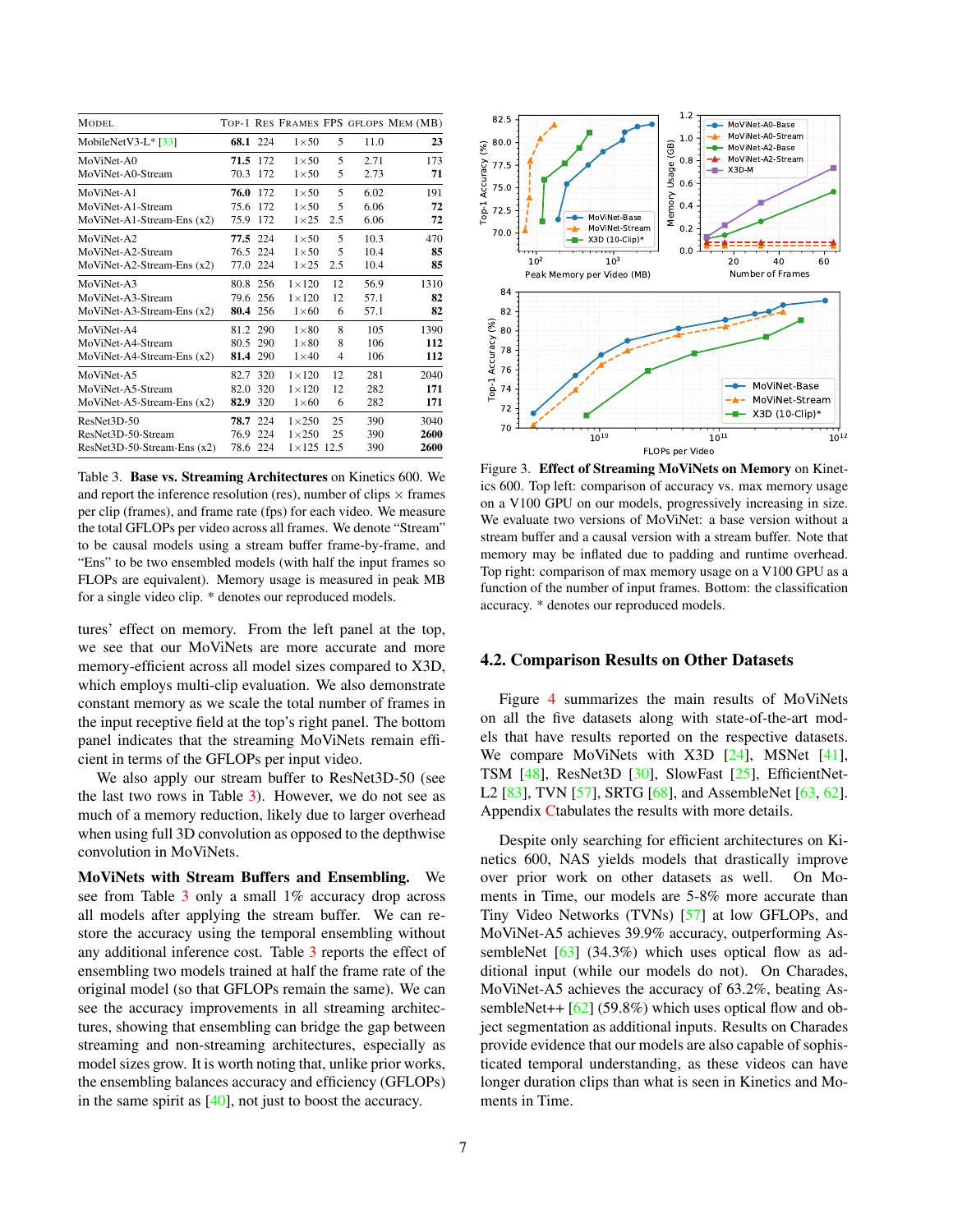<span id="page-6-2"></span>

| <b>MODEL</b>                |      |          |                     |     |      | TOP-1 RES FRAMES FPS GFLOPS MEM (MB) |
|-----------------------------|------|----------|---------------------|-----|------|--------------------------------------|
| MobileNetV3-L $*$ [33]      |      | 68.1 224 | $1\times 50$        | 5   | 11.0 | 23                                   |
| MoViNet-A0                  |      | 71.5 172 | $1\times 50$        | 5   | 2.71 | 173                                  |
| MoViNet-A0-Stream           | 70.3 | 172      | $1\times 50$        | 5   | 2.73 | 71                                   |
| MoViNet-A1                  | 76.0 | 172      | $1\times 50$        | 5   | 6.02 | 191                                  |
| MoViNet-A1-Stream           | 75.6 | 172      | $1\times 50$        | 5   | 6.06 | 72                                   |
| $MoViNet-A1-Stream-Ens(x2)$ | 75.9 | 172      | $1\times25$         | 2.5 | 6.06 | 72                                   |
| MoViNet-A2                  |      | 77.5 224 | $1\times 50$        | 5   | 10.3 | 470                                  |
| MoViNet-A2-Stream           | 76.5 | 224      | $1\times 50$        | 5   | 10.4 | 85                                   |
| MoViNet-A2-Stream-Ens (x2)  | 77.0 | -224     | $1\times25$         | 2.5 | 10.4 | 85                                   |
| MoViNet-A3                  |      | 80.8 256 | $1\times120$        | 12  | 56.9 | 1310                                 |
| MoViNet-A3-Stream           | 79.6 | -256     | $1\times120$        | 12  | 57.1 | 82                                   |
| $MoViNet-A3-Stream-Ens(x2)$ |      | 80.4 256 | $1\times 60$        | 6   | 57.1 | 82                                   |
| MoViNet-A4                  |      | 81.2 290 | $1\times80$         | 8   | 105  | 1390                                 |
| MoViNet-A4-Stream           | 80.5 | 290      | $1\times80$         | 8   | 106  | 112                                  |
| MoViNet-A4-Stream-Ens (x2)  |      | 81.4 290 | $1\times 40$        | 4   | 106  | 112                                  |
| MoViNet-A5                  |      | 82.7 320 | $1\times120$        | 12  | 281  | 2040                                 |
| MoViNet-A5-Stream           | 82.0 | 320      | $1\times120$        | 12  | 282  | 171                                  |
| MoViNet-A5-Stream-Ens (x2)  | 82.9 | 320      | $1\times 60$        | 6   | 282  | 171                                  |
| ResNet3D-50                 |      | 78.7 224 | $1\times250$        | 25  | 390  | 3040                                 |
| ResNet3D-50-Stream          | 76.9 | 224      | $1\times250$        | 25  | 390  | 2600                                 |
| ResNet3D-50-Stream-Ens (x2) |      | 78.6 224 | $1 \times 125$ 12.5 |     | 390  | 2600                                 |

<span id="page-6-0"></span>Table 3. Base vs. Streaming Architectures on Kinetics 600. We and report the inference resolution (res), number of clips  $\times$  frames per clip (frames), and frame rate (fps) for each video. We measure the total GFLOPs per video across all frames. We denote "Stream" to be causal models using a stream buffer frame-by-frame, and "Ens" to be two ensembled models (with half the input frames so FLOPs are equivalent). Memory usage is measured in peak MB for a single video clip. \* denotes our reproduced models.

tures' effect on memory. From the left panel at the top, we see that our MoViNets are more accurate and more memory-efficient across all model sizes compared to X3D, which employs multi-clip evaluation. We also demonstrate constant memory as we scale the total number of frames in the input receptive field at the top's right panel. The bottom panel indicates that the streaming MoViNets remain efficient in terms of the GFLOPs per input video.

We also apply our stream buffer to ResNet3D-50 (see the last two rows in Table [3\)](#page-6-0). However, we do not see as much of a memory reduction, likely due to larger overhead when using full 3D convolution as opposed to the depthwise convolution in MoViNets.

MoViNets with Stream Buffers and Ensembling. We see from Table [3](#page-6-0) only a small 1% accuracy drop across all models after applying the stream buffer. We can restore the accuracy using the temporal ensembling without any additional inference cost. Table [3](#page-6-0) reports the effect of ensembling two models trained at half the frame rate of the original model (so that GFLOPs remain the same). We can see the accuracy improvements in all streaming architectures, showing that ensembling can bridge the gap between streaming and non-streaming architectures, especially as model sizes grow. It is worth noting that, unlike prior works, the ensembling balances accuracy and efficiency (GFLOPs) in the same spirit as [\[40\]](#page-10-16), not just to boost the accuracy.



<span id="page-6-1"></span>Figure 3. Effect of Streaming MoViNets on Memory on Kinetics 600. Top left: comparison of accuracy vs. max memory usage on a V100 GPU on our models, progressively increasing in size. We evaluate two versions of MoViNet: a base version without a stream buffer and a causal version with a stream buffer. Note that memory may be inflated due to padding and runtime overhead. Top right: comparison of max memory usage on a V100 GPU as a function of the number of input frames. Bottom: the classification accuracy. \* denotes our reproduced models.

#### 4.2. Comparison Results on Other Datasets

Figure [4](#page-7-0) summarizes the main results of MoViNets on all the five datasets along with state-of-the-art models that have results reported on the respective datasets. We compare MoViNets with X3D [\[24\]](#page-9-1), MSNet [\[41\]](#page-10-21), TSM [\[48\]](#page-10-1), ResNet3D [\[30\]](#page-9-19), SlowFast [\[25\]](#page-9-0), EfficientNet-L2 [\[83\]](#page-11-21), TVN [\[57\]](#page-10-10), SRTG [\[68\]](#page-11-22), and AssembleNet [\[63,](#page-10-0) [62\]](#page-10-22). Appendix [Ct](#page-14-0)abulates the results with more details.

Despite only searching for efficient architectures on Kinetics 600, NAS yields models that drastically improve over prior work on other datasets as well. On Moments in Time, our models are 5-8% more accurate than Tiny Video Networks (TVNs) [\[57\]](#page-10-10) at low GFLOPs, and MoViNet-A5 achieves 39.9% accuracy, outperforming AssembleNet  $[63]$  (34.3%) which uses optical flow as additional input (while our models do not). On Charades, MoViNet-A5 achieves the accuracy of 63.2%, beating AssembleNet++  $[62] (59.8%)$  $[62] (59.8%)$  which uses optical flow and object segmentation as additional inputs. Results on Charades provide evidence that our models are also capable of sophisticated temporal understanding, as these videos can have longer duration clips than what is seen in Kinetics and Moments in Time.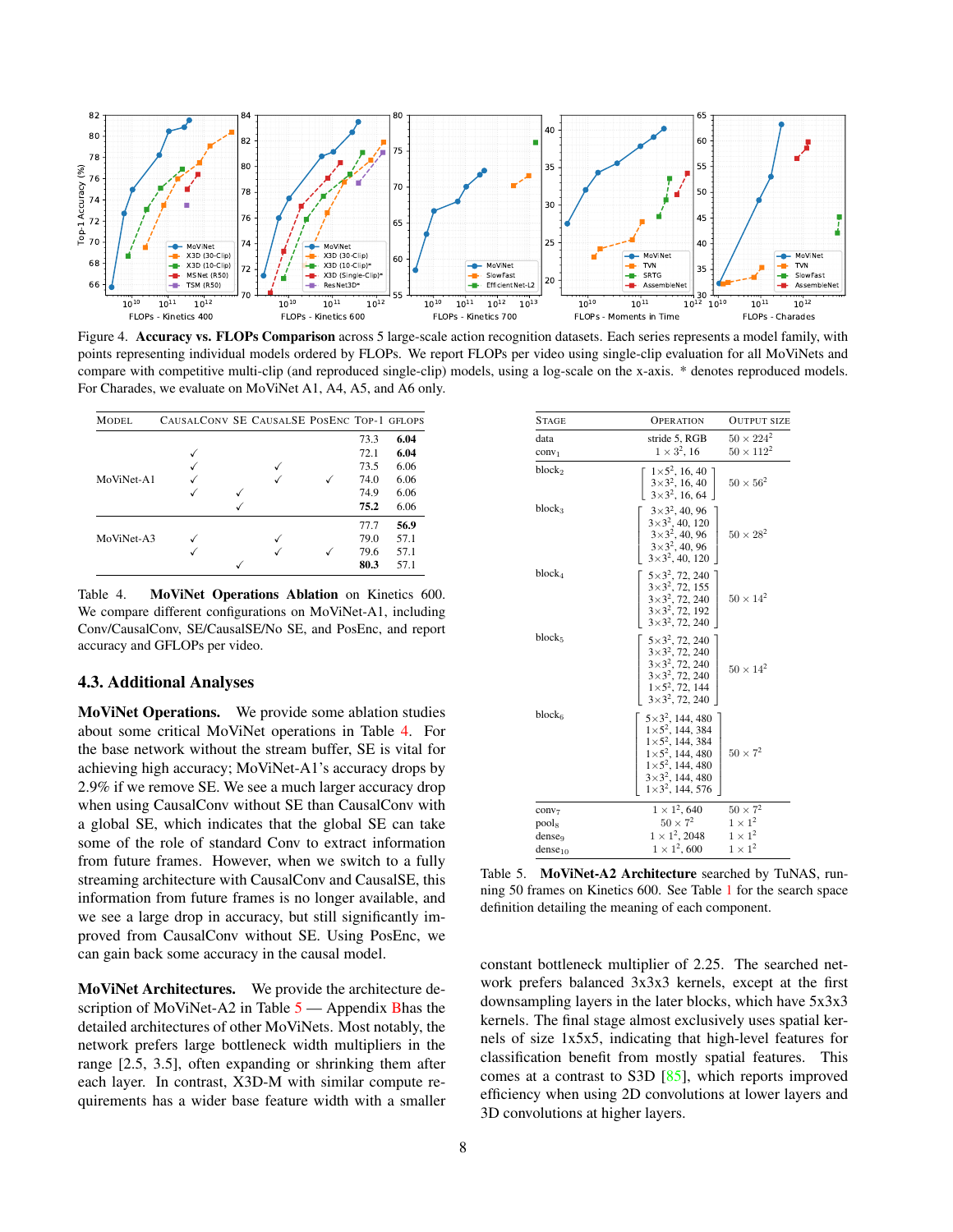<span id="page-7-3"></span>

<span id="page-7-0"></span>Figure 4. Accuracy vs. FLOPs Comparison across 5 large-scale action recognition datasets. Each series represents a model family, with points representing individual models ordered by FLOPs. We report FLOPs per video using single-clip evaluation for all MoViNets and compare with competitive multi-clip (and reproduced single-clip) models, using a log-scale on the x-axis. \* denotes reproduced models. For Charades, we evaluate on MoViNet A1, A4, A5, and A6 only.

| MODEL.     | CAUSALCONV SE CAUSALSE POSENC TOP-1 GFLOPS |   |  |      |      |
|------------|--------------------------------------------|---|--|------|------|
|            |                                            |   |  | 73.3 | 6.04 |
|            |                                            |   |  | 72.1 | 6.04 |
|            |                                            |   |  | 73.5 | 6.06 |
| MoViNet-A1 |                                            |   |  | 74.0 | 6.06 |
|            |                                            | √ |  | 74.9 | 6.06 |
|            |                                            |   |  | 75.2 | 6.06 |
|            |                                            |   |  | 77.7 | 56.9 |
| MoViNet-A3 |                                            |   |  | 79.0 | 57.1 |
|            |                                            |   |  | 79.6 | 57.1 |
|            |                                            |   |  | 80.3 | 57.1 |

<span id="page-7-1"></span>Table 4. MoViNet Operations Ablation on Kinetics 600. We compare different configurations on MoViNet-A1, including Conv/CausalConv, SE/CausalSE/No SE, and PosEnc, and report accuracy and GFLOPs per video.

# 4.3. Additional Analyses

MoViNet Operations. We provide some ablation studies about some critical MoViNet operations in Table [4.](#page-7-1) For the base network without the stream buffer, SE is vital for achieving high accuracy; MoViNet-A1's accuracy drops by 2.9% if we remove SE. We see a much larger accuracy drop when using CausalConv without SE than CausalConv with a global SE, which indicates that the global SE can take some of the role of standard Conv to extract information from future frames. However, when we switch to a fully streaming architecture with CausalConv and CausalSE, this information from future frames is no longer available, and we see a large drop in accuracy, but still significantly improved from CausalConv without SE. Using PosEnc, we can gain back some accuracy in the causal model.

MoViNet Architectures. We provide the architecture description of MoViNet-A2 in Table  $5$  — Appendix [Bh](#page-13-0)as the detailed architectures of other MoViNets. Most notably, the network prefers large bottleneck width multipliers in the range [2.5, 3.5], often expanding or shrinking them after each layer. In contrast, X3D-M with similar compute requirements has a wider base feature width with a smaller

| <b>STAGE</b>               | <b>OPERATION</b>                                                                                                                                                                            | <b>OUTPUT SIZE</b>                     |
|----------------------------|---------------------------------------------------------------------------------------------------------------------------------------------------------------------------------------------|----------------------------------------|
| data<br>conv <sub>1</sub>  | stride 5, RGB<br>$1 \times 3^2$ , 16                                                                                                                                                        | $50 \times 224^2$<br>$50 \times 112^2$ |
| block <sub>2</sub>         | $1\times5^2$ , 16, 40<br>$3\times3^2$ , 16, 40<br>$3\times3^2$ , 16, 64                                                                                                                     | $50 \times 56^2$                       |
| block <sub>3</sub>         | $3\times3^2$ , 40, 96<br>$3\times3^2$ , 40, 120<br>$3\times3^2$ , 40, 96<br>$3\times3^2$ , 40, 96<br>$3\times3^2$ , 40, 120                                                                 | $50 \times 28^2$                       |
| block4                     | $5\times3^2$ , 72, 240<br>$3\times3^2$ , 72, 155<br>$3\times3^2$ , 72, 240<br>$3\times3^2$ , 72, 192<br>$3\times3^2$ , 72, 240                                                              | $50 \times 14^2$                       |
| block <sub>5</sub>         | $5\times3^2$ , 72, 240<br>$3\times3^2$ , 72, 240<br>$3\times3^2$ , 72, 240<br>$3\times3^2$ , 72, 240<br>$1\times5^2$ , 72, 144<br>$3\times3^2$ , 72, 240                                    | $50 \times 14^2$                       |
| $block_6$                  | $5 \times 3^2$ , 144, 480<br>$1\times5^2$ , 144, 384<br>$1\times5^2$ , 144, 384<br>$1\times5^2$ , 144, 480<br>$1\times5^2$ , 144, 480<br>$3\times3^2$ , 144, 480<br>$1\times3^2$ , 144, 576 | $50 \times 7^2$                        |
| conv <sub>7</sub><br>pools | $1 \times 1^2$ , 640<br>$50 \times 7^2$                                                                                                                                                     | $50 \times 7^2$<br>$1 \times 1^2$      |
| denseq                     | $1 \times 1^2$ , 2048                                                                                                                                                                       | $1 \times 1^2$                         |
| $dense_{10}$               | $1 \times 1^2$ , 600                                                                                                                                                                        | $1 \times 1^2$                         |

<span id="page-7-2"></span>Table 5. MoViNet-A2 Architecture searched by TuNAS, running 50 frames on Kinetics 600. See Table [1](#page-2-0) for the search space definition detailing the meaning of each component.

constant bottleneck multiplier of 2.25. The searched network prefers balanced 3x3x3 kernels, except at the first downsampling layers in the later blocks, which have 5x3x3 kernels. The final stage almost exclusively uses spatial kernels of size 1x5x5, indicating that high-level features for classification benefit from mostly spatial features. This comes at a contrast to S3D [\[85\]](#page-11-23), which reports improved efficiency when using 2D convolutions at lower layers and 3D convolutions at higher layers.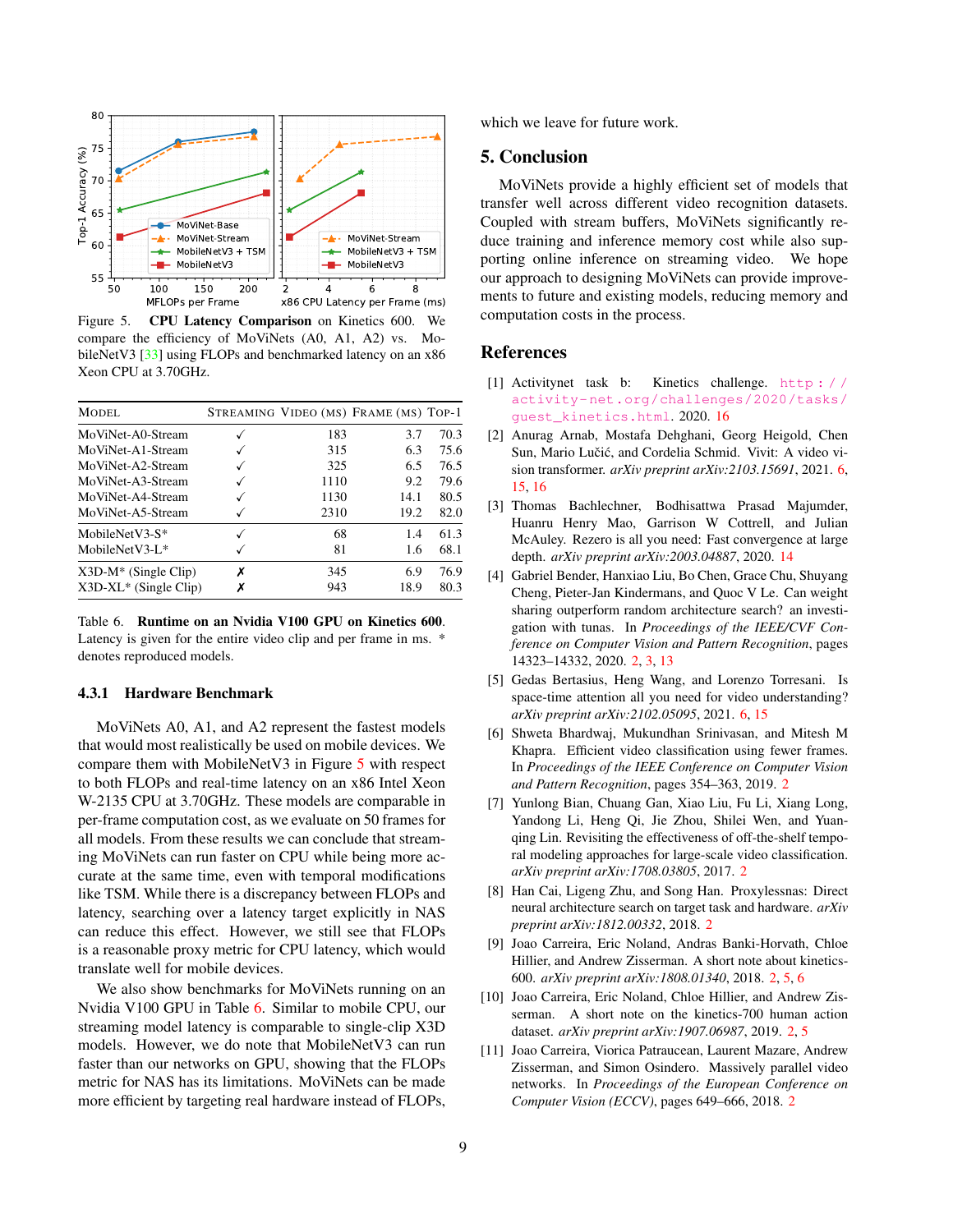<span id="page-8-11"></span>

<span id="page-8-9"></span>Figure 5. CPU Latency Comparison on Kinetics 600. We compare the efficiency of MoViNets (A0, A1, A2) vs. Mo-bileNetV3 [\[33\]](#page-9-2) using FLOPs and benchmarked latency on an x86 Xeon CPU at 3.70GHz.

| MODEL.                  |   |      | STREAMING VIDEO (MS) FRAME (MS) TOP-1 |      |
|-------------------------|---|------|---------------------------------------|------|
| MoViNet-A0-Stream       |   | 183  | 3.7                                   | 70.3 |
| MoViNet-A1-Stream       |   | 315  | 6.3                                   | 75.6 |
| MoViNet-A2-Stream       |   | 325  | 6.5                                   | 76.5 |
| MoViNet-A3-Stream       |   | 1110 | 9.2                                   | 79.6 |
| MoViNet-A4-Stream       |   | 1130 | 14.1                                  | 80.5 |
| MoViNet-A5-Stream       |   | 2310 | 19.2                                  | 82.0 |
| MobileNetV3- $S^*$      |   | 68   | 14                                    | 61.3 |
| MobileNetV3-L $*$       |   | 81   | 1.6                                   | 68.1 |
| $X3D-M^*$ (Single Clip) | х | 345  | 6.9                                   | 76.9 |
| $X3D-XL*$ (Single Clip) | Х | 943  | 18.9                                  | 80.3 |

<span id="page-8-10"></span>Table 6. Runtime on an Nvidia V100 GPU on Kinetics 600. Latency is given for the entire video clip and per frame in ms. \* denotes reproduced models.

### 4.3.1 Hardware Benchmark

MoViNets A0, A1, and A2 represent the fastest models that would most realistically be used on mobile devices. We compare them with MobileNetV3 in Figure [5](#page-8-9) with respect to both FLOPs and real-time latency on an x86 Intel Xeon W-2135 CPU at 3.70GHz. These models are comparable in per-frame computation cost, as we evaluate on 50 frames for all models. From these results we can conclude that streaming MoViNets can run faster on CPU while being more accurate at the same time, even with temporal modifications like TSM. While there is a discrepancy between FLOPs and latency, searching over a latency target explicitly in NAS can reduce this effect. However, we still see that FLOPs is a reasonable proxy metric for CPU latency, which would translate well for mobile devices.

We also show benchmarks for MoViNets running on an Nvidia V100 GPU in Table [6.](#page-8-10) Similar to mobile CPU, our streaming model latency is comparable to single-clip X3D models. However, we do note that MobileNetV3 can run faster than our networks on GPU, showing that the FLOPs metric for NAS has its limitations. MoViNets can be made more efficient by targeting real hardware instead of FLOPs,

which we leave for future work.

# 5. Conclusion

MoViNets provide a highly efficient set of models that transfer well across different video recognition datasets. Coupled with stream buffers, MoViNets significantly reduce training and inference memory cost while also supporting online inference on streaming video. We hope our approach to designing MoViNets can provide improvements to future and existing models, reducing memory and computation costs in the process.

### References

- <span id="page-8-13"></span>[1] Activitynet task b: Kinetics challenge. [http : / /](http://activity-net.org/challenges/2020/tasks/guest_kinetics.html) [activity-net.org/challenges/2020/tasks/](http://activity-net.org/challenges/2020/tasks/guest_kinetics.html) [guest\\_kinetics.html](http://activity-net.org/challenges/2020/tasks/guest_kinetics.html). 2020. [16](#page-15-0)
- <span id="page-8-7"></span>[2] Anurag Arnab, Mostafa Dehghani, Georg Heigold, Chen Sun, Mario Lučić, and Cordelia Schmid. Vivit: A video vision transformer. *arXiv preprint arXiv:2103.15691*, 2021. [6,](#page-5-1) [15,](#page-14-1) [16](#page-15-0)
- <span id="page-8-12"></span>[3] Thomas Bachlechner, Bodhisattwa Prasad Majumder, Huanru Henry Mao, Garrison W Cottrell, and Julian McAuley. Rezero is all you need: Fast convergence at large depth. *arXiv preprint arXiv:2003.04887*, 2020. [14](#page-13-1)
- <span id="page-8-5"></span>[4] Gabriel Bender, Hanxiao Liu, Bo Chen, Grace Chu, Shuyang Cheng, Pieter-Jan Kindermans, and Quoc V Le. Can weight sharing outperform random architecture search? an investigation with tunas. In *Proceedings of the IEEE/CVF Conference on Computer Vision and Pattern Recognition*, pages 14323–14332, 2020. [2,](#page-1-0) [3,](#page-2-1) [13](#page-12-1)
- <span id="page-8-8"></span>[5] Gedas Bertasius, Heng Wang, and Lorenzo Torresani. Is space-time attention all you need for video understanding? *arXiv preprint arXiv:2102.05095*, 2021. [6,](#page-5-1) [15](#page-14-1)
- <span id="page-8-2"></span>[6] Shweta Bhardwaj, Mukundhan Srinivasan, and Mitesh M Khapra. Efficient video classification using fewer frames. In *Proceedings of the IEEE Conference on Computer Vision and Pattern Recognition*, pages 354–363, 2019. [2](#page-1-0)
- <span id="page-8-6"></span>[7] Yunlong Bian, Chuang Gan, Xiao Liu, Fu Li, Xiang Long, Yandong Li, Heng Qi, Jie Zhou, Shilei Wen, and Yuanqing Lin. Revisiting the effectiveness of off-the-shelf temporal modeling approaches for large-scale video classification. *arXiv preprint arXiv:1708.03805*, 2017. [2](#page-1-0)
- <span id="page-8-4"></span>[8] Han Cai, Ligeng Zhu, and Song Han. Proxylessnas: Direct neural architecture search on target task and hardware. *arXiv preprint arXiv:1812.00332*, 2018. [2](#page-1-0)
- <span id="page-8-0"></span>[9] Joao Carreira, Eric Noland, Andras Banki-Horvath, Chloe Hillier, and Andrew Zisserman. A short note about kinetics-600. *arXiv preprint arXiv:1808.01340*, 2018. [2,](#page-1-0) [5,](#page-4-0) [6](#page-5-1)
- <span id="page-8-1"></span>[10] Joao Carreira, Eric Noland, Chloe Hillier, and Andrew Zisserman. A short note on the kinetics-700 human action dataset. *arXiv preprint arXiv:1907.06987*, 2019. [2,](#page-1-0) [5](#page-4-0)
- <span id="page-8-3"></span>[11] Joao Carreira, Viorica Patraucean, Laurent Mazare, Andrew Zisserman, and Simon Osindero. Massively parallel video networks. In *Proceedings of the European Conference on Computer Vision (ECCV)*, pages 649–666, 2018. [2](#page-1-0)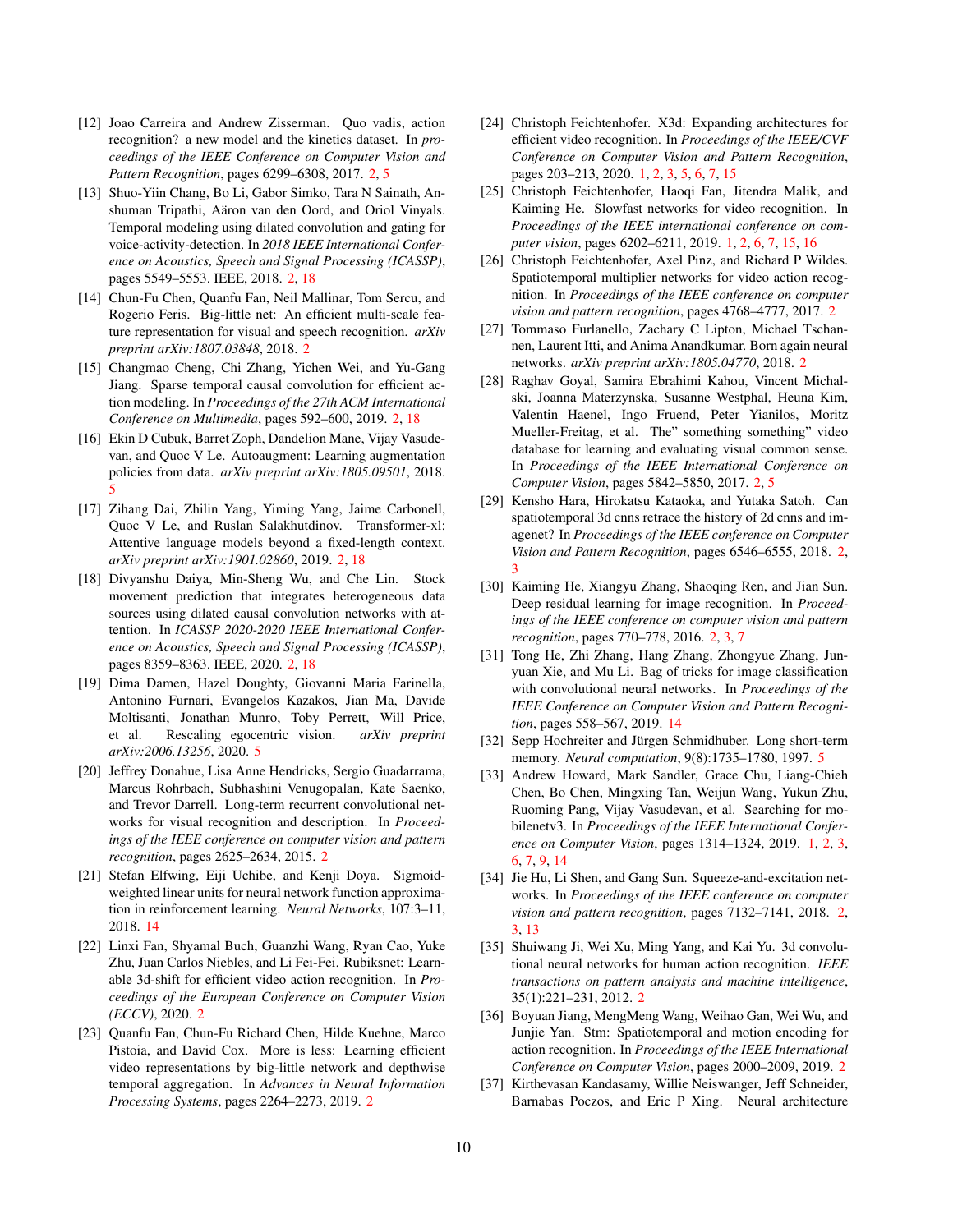- <span id="page-9-8"></span>[12] Joao Carreira and Andrew Zisserman. Quo vadis, action recognition? a new model and the kinetics dataset. In *proceedings of the IEEE Conference on Computer Vision and Pattern Recognition*, pages 6299–6308, 2017. [2,](#page-1-0) [5](#page-4-0)
- <span id="page-9-14"></span>[13] Shuo-Yiin Chang, Bo Li, Gabor Simko, Tara N Sainath, Anshuman Tripathi, Aäron van den Oord, and Oriol Vinyals. Temporal modeling using dilated convolution and gating for voice-activity-detection. In *2018 IEEE International Conference on Acoustics, Speech and Signal Processing (ICASSP)*, pages 5549–5553. IEEE, 2018. [2,](#page-1-0) [18](#page-17-0)
- <span id="page-9-12"></span>[14] Chun-Fu Chen, Quanfu Fan, Neil Mallinar, Tom Sercu, and Rogerio Feris. Big-little net: An efficient multi-scale feature representation for visual and speech recognition. *arXiv preprint arXiv:1807.03848*, 2018. [2](#page-1-0)
- <span id="page-9-16"></span>[15] Changmao Cheng, Chi Zhang, Yichen Wei, and Yu-Gang Jiang. Sparse temporal causal convolution for efficient action modeling. In *Proceedings of the 27th ACM International Conference on Multimedia*, pages 592–600, 2019. [2,](#page-1-0) [18](#page-17-0)
- <span id="page-9-23"></span>[16] Ekin D Cubuk, Barret Zoph, Dandelion Mane, Vijay Vasudevan, and Quoc V Le. Autoaugment: Learning augmentation policies from data. *arXiv preprint arXiv:1805.09501*, 2018. [5](#page-4-0)
- <span id="page-9-15"></span>[17] Zihang Dai, Zhilin Yang, Yiming Yang, Jaime Carbonell, Quoc V Le, and Ruslan Salakhutdinov. Transformer-xl: Attentive language models beyond a fixed-length context. *arXiv preprint arXiv:1901.02860*, 2019. [2,](#page-1-0) [18](#page-17-0)
- <span id="page-9-17"></span>[18] Divyanshu Daiya, Min-Sheng Wu, and Che Lin. Stock movement prediction that integrates heterogeneous data sources using dilated causal convolution networks with attention. In *ICASSP 2020-2020 IEEE International Conference on Acoustics, Speech and Signal Processing (ICASSP)*, pages 8359–8363. IEEE, 2020. [2,](#page-1-0) [18](#page-17-0)
- <span id="page-9-22"></span>[19] Dima Damen, Hazel Doughty, Giovanni Maria Farinella, Antonino Furnari, Evangelos Kazakos, Jian Ma, Davide Moltisanti, Jonathan Munro, Toby Perrett, Will Price, et al. Rescaling egocentric vision. *arXiv preprint arXiv:2006.13256*, 2020. [5](#page-4-0)
- <span id="page-9-13"></span>[20] Jeffrey Donahue, Lisa Anne Hendricks, Sergio Guadarrama, Marcus Rohrbach, Subhashini Venugopalan, Kate Saenko, and Trevor Darrell. Long-term recurrent convolutional networks for visual recognition and description. In *Proceedings of the IEEE conference on computer vision and pattern recognition*, pages 2625–2634, 2015. [2](#page-1-0)
- <span id="page-9-25"></span>[21] Stefan Elfwing, Eiji Uchibe, and Kenji Doya. Sigmoidweighted linear units for neural network function approximation in reinforcement learning. *Neural Networks*, 107:3–11, 2018. [14](#page-13-1)
- <span id="page-9-4"></span>[22] Linxi Fan, Shyamal Buch, Guanzhi Wang, Ryan Cao, Yuke Zhu, Juan Carlos Niebles, and Li Fei-Fei. Rubiksnet: Learnable 3d-shift for efficient video action recognition. In *Proceedings of the European Conference on Computer Vision (ECCV)*, 2020. [2](#page-1-0)
- <span id="page-9-3"></span>[23] Quanfu Fan, Chun-Fu Richard Chen, Hilde Kuehne, Marco Pistoia, and David Cox. More is less: Learning efficient video representations by big-little network and depthwise temporal aggregation. In *Advances in Neural Information Processing Systems*, pages 2264–2273, 2019. [2](#page-1-0)
- <span id="page-9-1"></span>[24] Christoph Feichtenhofer. X3d: Expanding architectures for efficient video recognition. In *Proceedings of the IEEE/CVF Conference on Computer Vision and Pattern Recognition*, pages 203–213, 2020. [1,](#page-0-1) [2,](#page-1-0) [3,](#page-2-1) [5,](#page-4-0) [6,](#page-5-1) [7,](#page-6-2) [15](#page-14-1)
- <span id="page-9-0"></span>[25] Christoph Feichtenhofer, Haoqi Fan, Jitendra Malik, and Kaiming He. Slowfast networks for video recognition. In *Proceedings of the IEEE international conference on computer vision*, pages 6202–6211, 2019. [1,](#page-0-1) [2,](#page-1-0) [6,](#page-5-1) [7,](#page-6-2) [15,](#page-14-1) [16](#page-15-0)
- <span id="page-9-11"></span>[26] Christoph Feichtenhofer, Axel Pinz, and Richard P Wildes. Spatiotemporal multiplier networks for video action recognition. In *Proceedings of the IEEE conference on computer vision and pattern recognition*, pages 4768–4777, 2017. [2](#page-1-0)
- <span id="page-9-20"></span>[27] Tommaso Furlanello, Zachary C Lipton, Michael Tschannen, Laurent Itti, and Anima Anandkumar. Born again neural networks. *arXiv preprint arXiv:1805.04770*, 2018. [2](#page-1-0)
- <span id="page-9-6"></span>[28] Raghav Goyal, Samira Ebrahimi Kahou, Vincent Michalski, Joanna Materzynska, Susanne Westphal, Heuna Kim, Valentin Haenel, Ingo Fruend, Peter Yianilos, Moritz Mueller-Freitag, et al. The" something something" video database for learning and evaluating visual common sense. In *Proceedings of the IEEE International Conference on Computer Vision*, pages 5842–5850, 2017. [2,](#page-1-0) [5](#page-4-0)
- <span id="page-9-9"></span>[29] Kensho Hara, Hirokatsu Kataoka, and Yutaka Satoh. Can spatiotemporal 3d cnns retrace the history of 2d cnns and imagenet? In *Proceedings of the IEEE conference on Computer Vision and Pattern Recognition*, pages 6546–6555, 2018. [2,](#page-1-0) [3](#page-2-1)
- <span id="page-9-19"></span>[30] Kaiming He, Xiangyu Zhang, Shaoqing Ren, and Jian Sun. Deep residual learning for image recognition. In *Proceedings of the IEEE conference on computer vision and pattern recognition*, pages 770–778, 2016. [2,](#page-1-0) [3,](#page-2-1) [7](#page-6-2)
- <span id="page-9-24"></span>[31] Tong He, Zhi Zhang, Hang Zhang, Zhongyue Zhang, Junyuan Xie, and Mu Li. Bag of tricks for image classification with convolutional neural networks. In *Proceedings of the IEEE Conference on Computer Vision and Pattern Recognition*, pages 558–567, 2019. [14](#page-13-1)
- <span id="page-9-21"></span>[32] Sepp Hochreiter and Jürgen Schmidhuber. Long short-term memory. *Neural computation*, 9(8):1735–1780, 1997. [5](#page-4-0)
- <span id="page-9-2"></span>[33] Andrew Howard, Mark Sandler, Grace Chu, Liang-Chieh Chen, Bo Chen, Mingxing Tan, Weijun Wang, Yukun Zhu, Ruoming Pang, Vijay Vasudevan, et al. Searching for mobilenetv3. In *Proceedings of the IEEE International Conference on Computer Vision*, pages 1314–1324, 2019. [1,](#page-0-1) [2,](#page-1-0) [3,](#page-2-1) [6,](#page-5-1) [7,](#page-6-2) [9,](#page-8-11) [14](#page-13-1)
- <span id="page-9-5"></span>[34] Jie Hu, Li Shen, and Gang Sun. Squeeze-and-excitation networks. In *Proceedings of the IEEE conference on computer vision and pattern recognition*, pages 7132–7141, 2018. [2,](#page-1-0) [3,](#page-2-1) [13](#page-12-1)
- <span id="page-9-7"></span>[35] Shuiwang Ji, Wei Xu, Ming Yang, and Kai Yu. 3d convolutional neural networks for human action recognition. *IEEE transactions on pattern analysis and machine intelligence*, 35(1):221–231, 2012. [2](#page-1-0)
- <span id="page-9-10"></span>[36] Boyuan Jiang, MengMeng Wang, Weihao Gan, Wei Wu, and Junjie Yan. Stm: Spatiotemporal and motion encoding for action recognition. In *Proceedings of the IEEE International Conference on Computer Vision*, pages 2000–2009, 2019. [2](#page-1-0)
- <span id="page-9-18"></span>[37] Kirthevasan Kandasamy, Willie Neiswanger, Jeff Schneider, Barnabas Poczos, and Eric P Xing. Neural architecture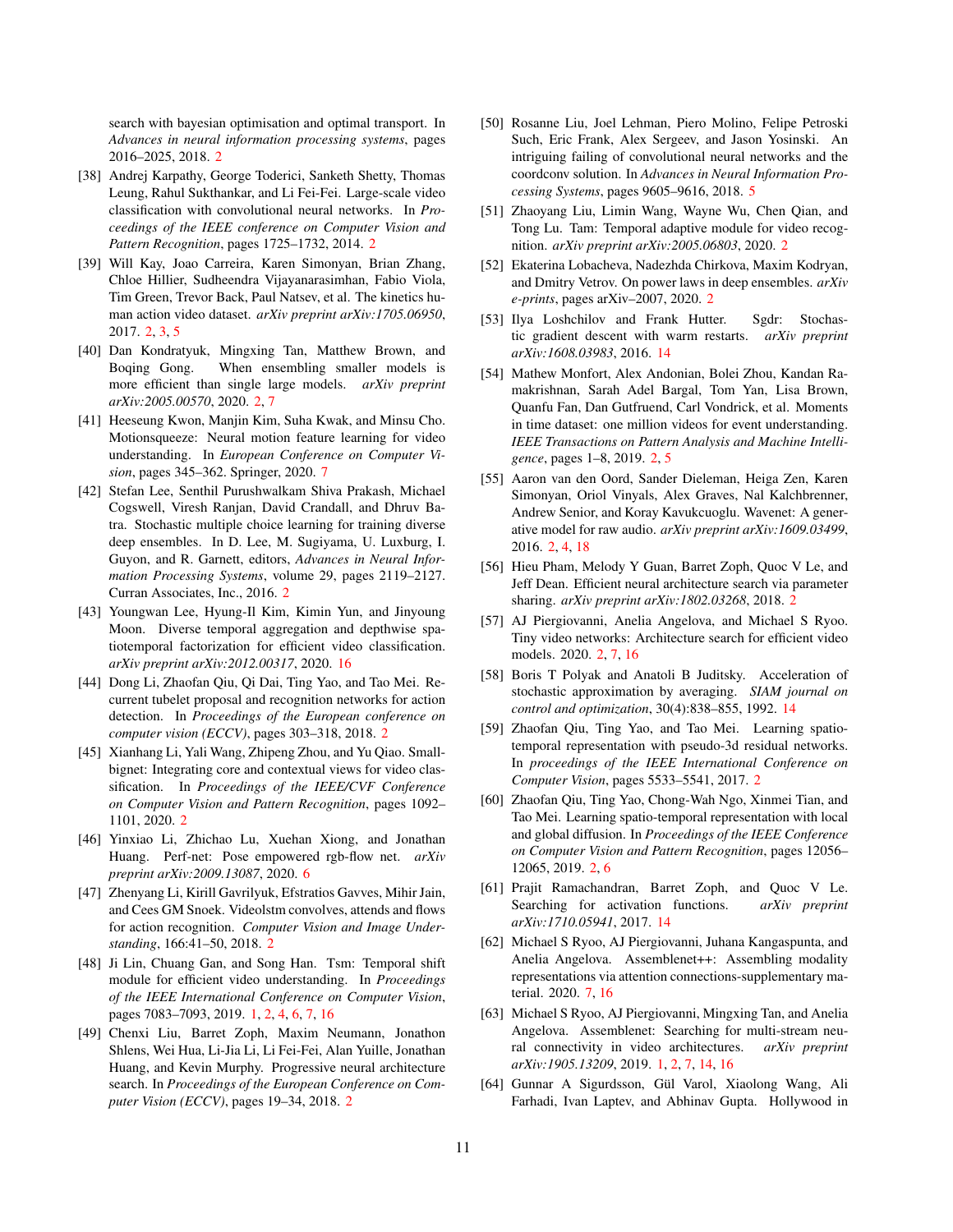search with bayesian optimisation and optimal transport. In *Advances in neural information processing systems*, pages 2016–2025, 2018. [2](#page-1-0)

- <span id="page-10-11"></span>[38] Andrej Karpathy, George Toderici, Sanketh Shetty, Thomas Leung, Rahul Sukthankar, and Li Fei-Fei. Large-scale video classification with convolutional neural networks. In *Proceedings of the IEEE conference on Computer Vision and Pattern Recognition*, pages 1725–1732, 2014. [2](#page-1-0)
- <span id="page-10-3"></span>[39] Will Kay, Joao Carreira, Karen Simonyan, Brian Zhang, Chloe Hillier, Sudheendra Vijayanarasimhan, Fabio Viola, Tim Green, Trevor Back, Paul Natsev, et al. The kinetics human action video dataset. *arXiv preprint arXiv:1705.06950*, 2017. [2,](#page-1-0) [3,](#page-2-1) [5](#page-4-0)
- <span id="page-10-16"></span>[40] Dan Kondratyuk, Mingxing Tan, Matthew Brown, and Boqing Gong. When ensembling smaller models is more efficient than single large models. *arXiv preprint arXiv:2005.00570*, 2020. [2,](#page-1-0) [7](#page-6-2)
- <span id="page-10-21"></span>[41] Heeseung Kwon, Manjin Kim, Suha Kwak, and Minsu Cho. Motionsqueeze: Neural motion feature learning for video understanding. In *European Conference on Computer Vision*, pages 345–362. Springer, 2020. [7](#page-6-2)
- <span id="page-10-18"></span>[42] Stefan Lee, Senthil Purushwalkam Shiva Prakash, Michael Cogswell, Viresh Ranjan, David Crandall, and Dhruv Batra. Stochastic multiple choice learning for training diverse deep ensembles. In D. Lee, M. Sugiyama, U. Luxburg, I. Guyon, and R. Garnett, editors, *Advances in Neural Information Processing Systems*, volume 29, pages 2119–2127. Curran Associates, Inc., 2016. [2](#page-1-0)
- <span id="page-10-26"></span>[43] Youngwan Lee, Hyung-Il Kim, Kimin Yun, and Jinyoung Moon. Diverse temporal aggregation and depthwise spatiotemporal factorization for efficient video classification. *arXiv preprint arXiv:2012.00317*, 2020. [16](#page-15-0)
- <span id="page-10-12"></span>[44] Dong Li, Zhaofan Qiu, Qi Dai, Ting Yao, and Tao Mei. Recurrent tubelet proposal and recognition networks for action detection. In *Proceedings of the European conference on computer vision (ECCV)*, pages 303–318, 2018. [2](#page-1-0)
- <span id="page-10-9"></span>[45] Xianhang Li, Yali Wang, Zhipeng Zhou, and Yu Qiao. Smallbignet: Integrating core and contextual views for video classification. In *Proceedings of the IEEE/CVF Conference on Computer Vision and Pattern Recognition*, pages 1092– 1101, 2020. [2](#page-1-0)
- <span id="page-10-20"></span>[46] Yinxiao Li, Zhichao Lu, Xuehan Xiong, and Jonathan Huang. Perf-net: Pose empowered rgb-flow net. *arXiv preprint arXiv:2009.13087*, 2020. [6](#page-5-1)
- <span id="page-10-13"></span>[47] Zhenyang Li, Kirill Gavrilyuk, Efstratios Gavves, Mihir Jain, and Cees GM Snoek. Videolstm convolves, attends and flows for action recognition. *Computer Vision and Image Understanding*, 166:41–50, 2018. [2](#page-1-0)
- <span id="page-10-1"></span>[48] Ji Lin, Chuang Gan, and Song Han. Tsm: Temporal shift module for efficient video understanding. In *Proceedings of the IEEE International Conference on Computer Vision*, pages 7083–7093, 2019. [1,](#page-0-1) [2,](#page-1-0) [4,](#page-3-1) [6,](#page-5-1) [7,](#page-6-2) [16](#page-15-0)
- <span id="page-10-14"></span>[49] Chenxi Liu, Barret Zoph, Maxim Neumann, Jonathon Shlens, Wei Hua, Li-Jia Li, Li Fei-Fei, Alan Yuille, Jonathan Huang, and Kevin Murphy. Progressive neural architecture search. In *Proceedings of the European Conference on Computer Vision (ECCV)*, pages 19–34, 2018. [2](#page-1-0)
- <span id="page-10-19"></span>[50] Rosanne Liu, Joel Lehman, Piero Molino, Felipe Petroski Such, Eric Frank, Alex Sergeev, and Jason Yosinski. An intriguing failing of convolutional neural networks and the coordconv solution. In *Advances in Neural Information Processing Systems*, pages 9605–9616, 2018. [5](#page-4-0)
- <span id="page-10-2"></span>[51] Zhaoyang Liu, Limin Wang, Wayne Wu, Chen Qian, and Tong Lu. Tam: Temporal adaptive module for video recognition. *arXiv preprint arXiv:2005.06803*, 2020. [2](#page-1-0)
- <span id="page-10-17"></span>[52] Ekaterina Lobacheva, Nadezhda Chirkova, Maxim Kodryan, and Dmitry Vetrov. On power laws in deep ensembles. *arXiv e-prints*, pages arXiv–2007, 2020. [2](#page-1-0)
- <span id="page-10-25"></span>[53] Ilya Loshchilov and Frank Hutter. Sgdr: Stochastic gradient descent with warm restarts. *arXiv preprint arXiv:1608.03983*, 2016. [14](#page-13-1)
- <span id="page-10-5"></span>[54] Mathew Monfort, Alex Andonian, Bolei Zhou, Kandan Ramakrishnan, Sarah Adel Bargal, Tom Yan, Lisa Brown, Quanfu Fan, Dan Gutfruend, Carl Vondrick, et al. Moments in time dataset: one million videos for event understanding. *IEEE Transactions on Pattern Analysis and Machine Intelligence*, pages 1–8, 2019. [2,](#page-1-0) [5](#page-4-0)
- <span id="page-10-4"></span>[55] Aaron van den Oord, Sander Dieleman, Heiga Zen, Karen Simonyan, Oriol Vinyals, Alex Graves, Nal Kalchbrenner, Andrew Senior, and Koray Kavukcuoglu. Wavenet: A generative model for raw audio. *arXiv preprint arXiv:1609.03499*, 2016. [2,](#page-1-0) [4,](#page-3-1) [18](#page-17-0)
- <span id="page-10-15"></span>[56] Hieu Pham, Melody Y Guan, Barret Zoph, Quoc V Le, and Jeff Dean. Efficient neural architecture search via parameter sharing. *arXiv preprint arXiv:1802.03268*, 2018. [2](#page-1-0)
- <span id="page-10-10"></span>[57] AJ Piergiovanni, Anelia Angelova, and Michael S Ryoo. Tiny video networks: Architecture search for efficient video models. 2020. [2,](#page-1-0) [7,](#page-6-2) [16](#page-15-0)
- <span id="page-10-23"></span>[58] Boris T Polyak and Anatoli B Juditsky. Acceleration of stochastic approximation by averaging. *SIAM journal on control and optimization*, 30(4):838–855, 1992. [14](#page-13-1)
- <span id="page-10-8"></span>[59] Zhaofan Qiu, Ting Yao, and Tao Mei. Learning spatiotemporal representation with pseudo-3d residual networks. In *proceedings of the IEEE International Conference on Computer Vision*, pages 5533–5541, 2017. [2](#page-1-0)
- <span id="page-10-7"></span>[60] Zhaofan Qiu, Ting Yao, Chong-Wah Ngo, Xinmei Tian, and Tao Mei. Learning spatio-temporal representation with local and global diffusion. In *Proceedings of the IEEE Conference on Computer Vision and Pattern Recognition*, pages 12056– 12065, 2019. [2,](#page-1-0) [6](#page-5-1)
- <span id="page-10-24"></span>[61] Prajit Ramachandran, Barret Zoph, and Quoc V Le. Searching for activation functions. *arXiv preprint arXiv:1710.05941*, 2017. [14](#page-13-1)
- <span id="page-10-22"></span>[62] Michael S Ryoo, AJ Piergiovanni, Juhana Kangaspunta, and Anelia Angelova. Assemblenet++: Assembling modality representations via attention connections-supplementary material. 2020. [7,](#page-6-2) [16](#page-15-0)
- <span id="page-10-0"></span>[63] Michael S Ryoo, AJ Piergiovanni, Mingxing Tan, and Anelia Angelova. Assemblenet: Searching for multi-stream neural connectivity in video architectures. *arXiv preprint arXiv:1905.13209*, 2019. [1,](#page-0-1) [2,](#page-1-0) [7,](#page-6-2) [14,](#page-13-1) [16](#page-15-0)
- <span id="page-10-6"></span>[64] Gunnar A Sigurdsson, Gül Varol, Xiaolong Wang, Ali Farhadi, Ivan Laptev, and Abhinav Gupta. Hollywood in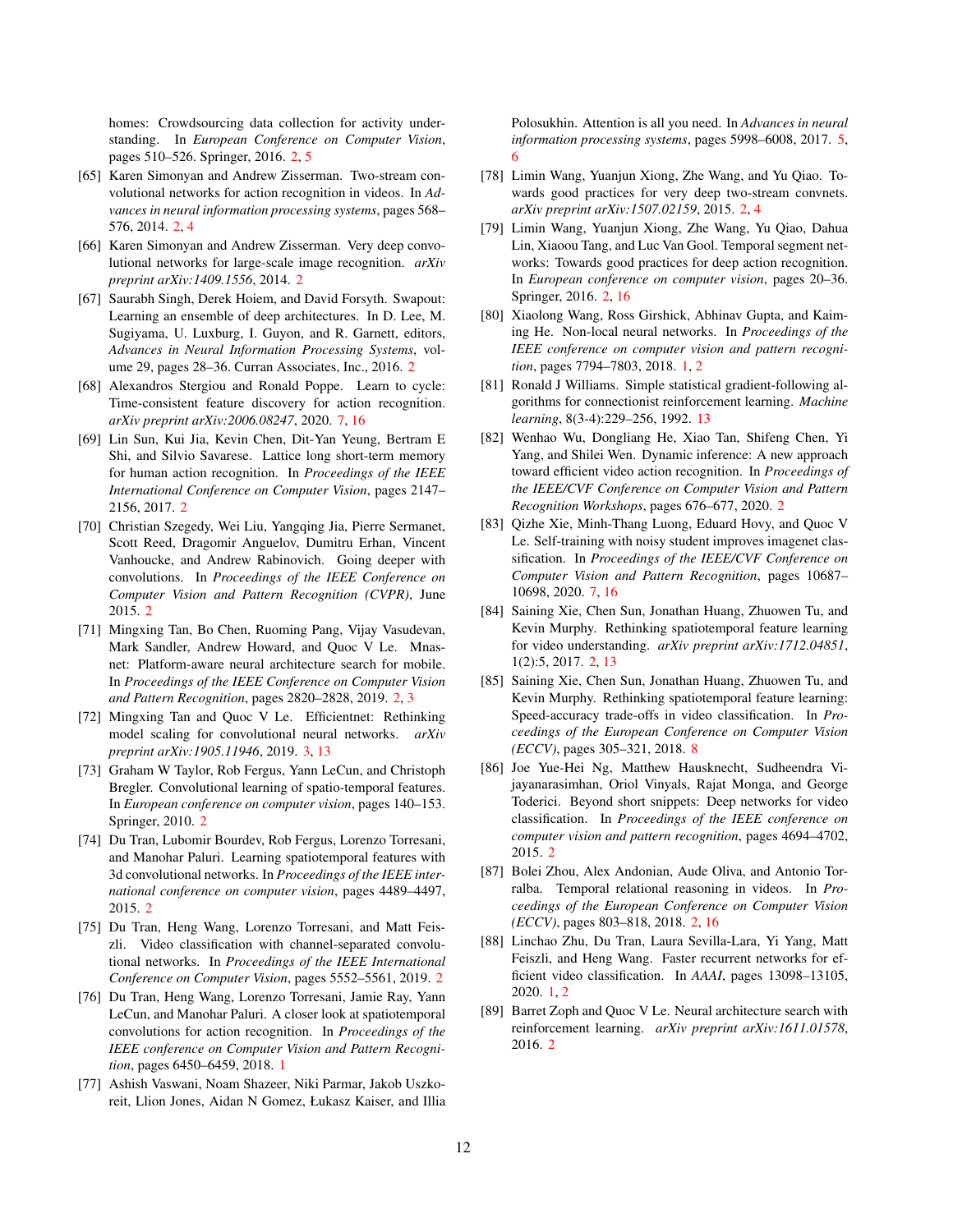homes: Crowdsourcing data collection for activity understanding. In *European Conference on Computer Vision*, pages 510–526. Springer, 2016. [2,](#page-1-0) [5](#page-4-0)

- <span id="page-11-4"></span>[65] Karen Simonyan and Andrew Zisserman. Two-stream convolutional networks for action recognition in videos. In *Advances in neural information processing systems*, pages 568– 576, 2014. [2,](#page-1-0) [4](#page-3-1)
- <span id="page-11-16"></span>[66] Karen Simonyan and Andrew Zisserman. Very deep convolutional networks for large-scale image recognition. *arXiv preprint arXiv:1409.1556*, 2014. [2](#page-1-0)
- <span id="page-11-18"></span>[67] Saurabh Singh, Derek Hoiem, and David Forsyth. Swapout: Learning an ensemble of deep architectures. In D. Lee, M. Sugiyama, U. Luxburg, I. Guyon, and R. Garnett, editors, *Advances in Neural Information Processing Systems*, volume 29, pages 28–36. Curran Associates, Inc., 2016. [2](#page-1-0)
- <span id="page-11-22"></span>[68] Alexandros Stergiou and Ronald Poppe. Learn to cycle: Time-consistent feature discovery for action recognition. *arXiv preprint arXiv:2006.08247*, 2020. [7,](#page-6-2) [16](#page-15-0)
- <span id="page-11-12"></span>[69] Lin Sun, Kui Jia, Kevin Chen, Dit-Yan Yeung, Bertram E Shi, and Silvio Savarese. Lattice long short-term memory for human action recognition. In *Proceedings of the IEEE International Conference on Computer Vision*, pages 2147– 2156, 2017. [2](#page-1-0)
- <span id="page-11-17"></span>[70] Christian Szegedy, Wei Liu, Yangqing Jia, Pierre Sermanet, Scott Reed, Dragomir Anguelov, Dumitru Erhan, Vincent Vanhoucke, and Andrew Rabinovich. Going deeper with convolutions. In *Proceedings of the IEEE Conference on Computer Vision and Pattern Recognition (CVPR)*, June 2015. [2](#page-1-0)
- <span id="page-11-15"></span>[71] Mingxing Tan, Bo Chen, Ruoming Pang, Vijay Vasudevan, Mark Sandler, Andrew Howard, and Quoc V Le. Mnasnet: Platform-aware neural architecture search for mobile. In *Proceedings of the IEEE Conference on Computer Vision and Pattern Recognition*, pages 2820–2828, 2019. [2,](#page-1-0) [3](#page-2-1)
- <span id="page-11-19"></span>[72] Mingxing Tan and Quoc V Le. Efficientnet: Rethinking model scaling for convolutional neural networks. *arXiv preprint arXiv:1905.11946*, 2019. [3,](#page-2-1) [13](#page-12-1)
- <span id="page-11-8"></span>[73] Graham W Taylor, Rob Fergus, Yann LeCun, and Christoph Bregler. Convolutional learning of spatio-temporal features. In *European conference on computer vision*, pages 140–153. Springer, 2010. [2](#page-1-0)
- <span id="page-11-6"></span>[74] Du Tran, Lubomir Bourdev, Rob Fergus, Lorenzo Torresani, and Manohar Paluri. Learning spatiotemporal features with 3d convolutional networks. In *Proceedings of the IEEE international conference on computer vision*, pages 4489–4497, 2015. [2](#page-1-0)
- <span id="page-11-10"></span>[75] Du Tran, Heng Wang, Lorenzo Torresani, and Matt Feiszli. Video classification with channel-separated convolutional networks. In *Proceedings of the IEEE International Conference on Computer Vision*, pages 5552–5561, 2019. [2](#page-1-0)
- <span id="page-11-0"></span>[76] Du Tran, Heng Wang, Lorenzo Torresani, Jamie Ray, Yann LeCun, and Manohar Paluri. A closer look at spatiotemporal convolutions for action recognition. In *Proceedings of the IEEE conference on Computer Vision and Pattern Recognition*, pages 6450–6459, 2018. [1](#page-0-1)
- <span id="page-11-20"></span>[77] Ashish Vaswani, Noam Shazeer, Niki Parmar, Jakob Uszkoreit, Llion Jones, Aidan N Gomez, Łukasz Kaiser, and Illia

Polosukhin. Attention is all you need. In *Advances in neural information processing systems*, pages 5998–6008, 2017. [5,](#page-4-0) [6](#page-5-1)

- <span id="page-11-5"></span>[78] Limin Wang, Yuanjun Xiong, Zhe Wang, and Yu Qiao. Towards good practices for very deep two-stream convnets. *arXiv preprint arXiv:1507.02159*, 2015. [2,](#page-1-0) [4](#page-3-1)
- <span id="page-11-7"></span>[79] Limin Wang, Yuanjun Xiong, Zhe Wang, Yu Qiao, Dahua Lin, Xiaoou Tang, and Luc Van Gool. Temporal segment networks: Towards good practices for deep action recognition. In *European conference on computer vision*, pages 20–36. Springer, 2016. [2,](#page-1-0) [16](#page-15-0)
- <span id="page-11-1"></span>[80] Xiaolong Wang, Ross Girshick, Abhinav Gupta, and Kaiming He. Non-local neural networks. In *Proceedings of the IEEE conference on computer vision and pattern recognition*, pages 7794–7803, 2018. [1,](#page-0-1) [2](#page-1-0)
- <span id="page-11-24"></span>[81] Ronald J Williams. Simple statistical gradient-following algorithms for connectionist reinforcement learning. *Machine learning*, 8(3-4):229–256, 1992. [13](#page-12-1)
- <span id="page-11-3"></span>[82] Wenhao Wu, Dongliang He, Xiao Tan, Shifeng Chen, Yi Yang, and Shilei Wen. Dynamic inference: A new approach toward efficient video action recognition. In *Proceedings of the IEEE/CVF Conference on Computer Vision and Pattern Recognition Workshops*, pages 676–677, 2020. [2](#page-1-0)
- <span id="page-11-21"></span>[83] Oizhe Xie, Minh-Thang Luong, Eduard Hovy, and Ouoc V Le. Self-training with noisy student improves imagenet classification. In *Proceedings of the IEEE/CVF Conference on Computer Vision and Pattern Recognition*, pages 10687– 10698, 2020. [7,](#page-6-2) [16](#page-15-0)
- <span id="page-11-9"></span>[84] Saining Xie, Chen Sun, Jonathan Huang, Zhuowen Tu, and Kevin Murphy. Rethinking spatiotemporal feature learning for video understanding. *arXiv preprint arXiv:1712.04851*, 1(2):5, 2017. [2,](#page-1-0) [13](#page-12-1)
- <span id="page-11-23"></span>[85] Saining Xie, Chen Sun, Jonathan Huang, Zhuowen Tu, and Kevin Murphy. Rethinking spatiotemporal feature learning: Speed-accuracy trade-offs in video classification. In *Proceedings of the European Conference on Computer Vision (ECCV)*, pages 305–321, 2018. [8](#page-7-3)
- <span id="page-11-11"></span>[86] Joe Yue-Hei Ng, Matthew Hausknecht, Sudheendra Vijayanarasimhan, Oriol Vinyals, Rajat Monga, and George Toderici. Beyond short snippets: Deep networks for video classification. In *Proceedings of the IEEE conference on computer vision and pattern recognition*, pages 4694–4702, 2015. [2](#page-1-0)
- <span id="page-11-13"></span>[87] Bolei Zhou, Alex Andonian, Aude Oliva, and Antonio Torralba. Temporal relational reasoning in videos. In *Proceedings of the European Conference on Computer Vision (ECCV)*, pages 803–818, 2018. [2,](#page-1-0) [16](#page-15-0)
- <span id="page-11-2"></span>[88] Linchao Zhu, Du Tran, Laura Sevilla-Lara, Yi Yang, Matt Feiszli, and Heng Wang. Faster recurrent networks for efficient video classification. In *AAAI*, pages 13098–13105, 2020. [1,](#page-0-1) [2](#page-1-0)
- <span id="page-11-14"></span>[89] Barret Zoph and Quoc V Le. Neural architecture search with reinforcement learning. *arXiv preprint arXiv:1611.01578*, 2016. [2](#page-1-0)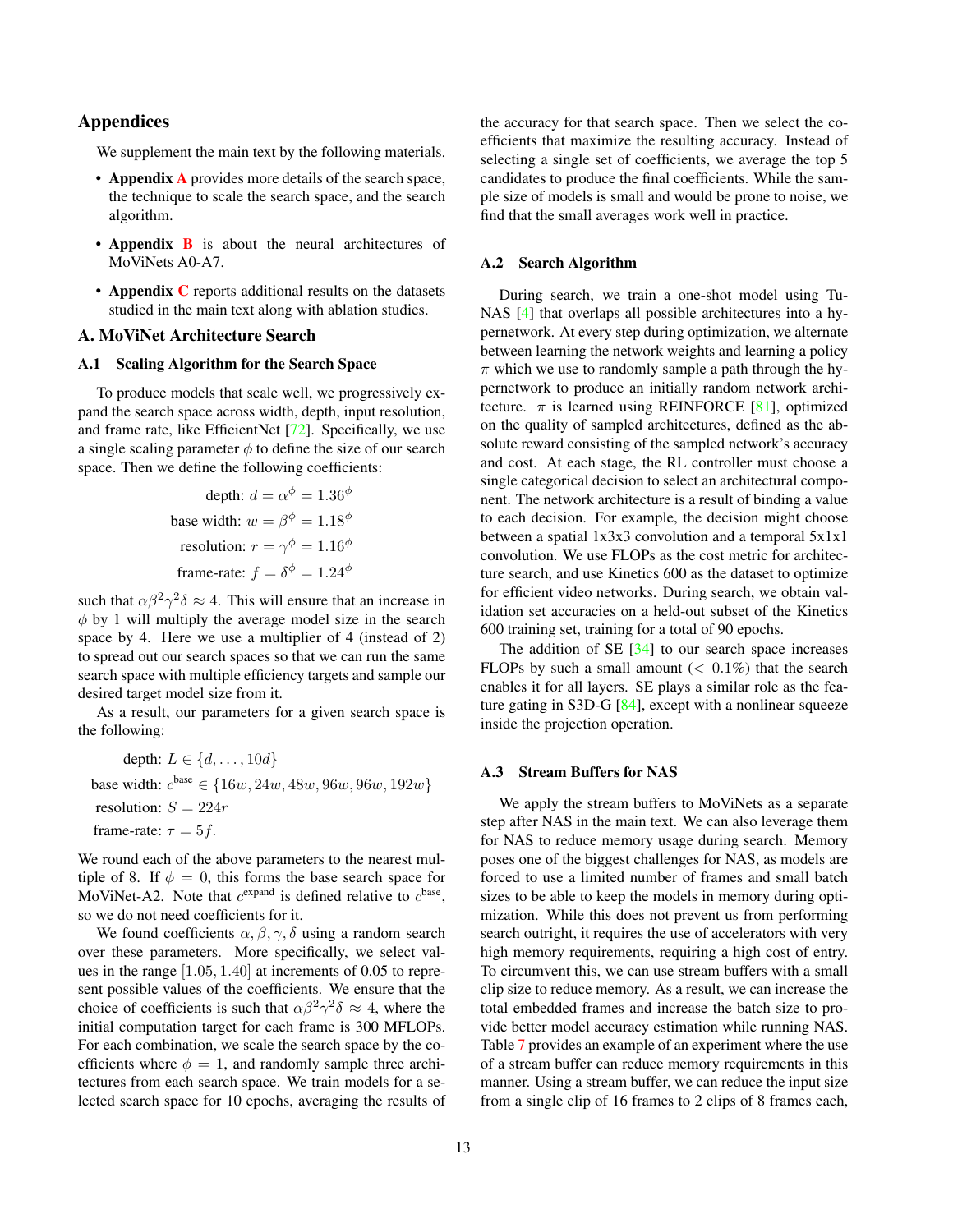# <span id="page-12-1"></span>Appendices

We supplement the main text by the following materials.

- [A](#page-12-0)ppendix A provides more details of the search space, the technique to scale the search space, and the search algorithm.
- **Appendix [B](#page-13-0)** is about the neural architectures of MoViNets A0-A7.
- Appendix [C](#page-14-0) reports additional results on the datasets studied in the main text along with ablation studies.

# <span id="page-12-0"></span>A. MoViNet Architecture Search

#### A.1 Scaling Algorithm for the Search Space

To produce models that scale well, we progressively expand the search space across width, depth, input resolution, and frame rate, like EfficientNet [\[72\]](#page-11-19). Specifically, we use a single scaling parameter  $\phi$  to define the size of our search space. Then we define the following coefficients:

depth: 
$$
d = \alpha^{\phi} = 1.36^{\phi}
$$
  
base width:  $w = \beta^{\phi} = 1.18^{\phi}$   
resolution:  $r = \gamma^{\phi} = 1.16^{\phi}$   
frame-rate:  $f = \delta^{\phi} = 1.24^{\phi}$ 

such that  $\alpha \beta^2 \gamma^2 \delta \approx 4$ . This will ensure that an increase in  $\phi$  by 1 will multiply the average model size in the search space by 4. Here we use a multiplier of 4 (instead of 2) to spread out our search spaces so that we can run the same search space with multiple efficiency targets and sample our desired target model size from it.

As a result, our parameters for a given search space is the following:

depth:  $L \in \{d, \ldots, 10d\}$ base width:  $c^{\text{base}} \in \{16w, 24w, 48w, 96w, 96w, 192w\}$ resolution:  $S = 224r$ frame-rate:  $\tau = 5f$ .

We round each of the above parameters to the nearest multiple of 8. If  $\phi = 0$ , this forms the base search space for MoViNet-A2. Note that  $c^{expand}$  is defined relative to  $c^{base}$ , so we do not need coefficients for it.

We found coefficients  $\alpha$ ,  $\beta$ ,  $\gamma$ ,  $\delta$  using a random search over these parameters. More specifically, we select values in the range [1.05, 1.40] at increments of 0.05 to represent possible values of the coefficients. We ensure that the choice of coefficients is such that  $\alpha \beta^2 \gamma^2 \delta \approx 4$ , where the initial computation target for each frame is 300 MFLOPs. For each combination, we scale the search space by the coefficients where  $\phi = 1$ , and randomly sample three architectures from each search space. We train models for a selected search space for 10 epochs, averaging the results of the accuracy for that search space. Then we select the coefficients that maximize the resulting accuracy. Instead of selecting a single set of coefficients, we average the top 5 candidates to produce the final coefficients. While the sample size of models is small and would be prone to noise, we find that the small averages work well in practice.

### A.2 Search Algorithm

During search, we train a one-shot model using Tu-NAS [\[4\]](#page-8-5) that overlaps all possible architectures into a hypernetwork. At every step during optimization, we alternate between learning the network weights and learning a policy  $\pi$  which we use to randomly sample a path through the hypernetwork to produce an initially random network architecture.  $\pi$  is learned using REINFORCE [\[81\]](#page-11-24), optimized on the quality of sampled architectures, defined as the absolute reward consisting of the sampled network's accuracy and cost. At each stage, the RL controller must choose a single categorical decision to select an architectural component. The network architecture is a result of binding a value to each decision. For example, the decision might choose between a spatial 1x3x3 convolution and a temporal 5x1x1 convolution. We use FLOPs as the cost metric for architecture search, and use Kinetics 600 as the dataset to optimize for efficient video networks. During search, we obtain validation set accuracies on a held-out subset of the Kinetics 600 training set, training for a total of 90 epochs.

The addition of  $SE$  [\[34\]](#page-9-5) to our search space increases FLOPs by such a small amount  $( $0.1\%$ )$  that the search enables it for all layers. SE plays a similar role as the feature gating in S3D-G [\[84\]](#page-11-9), except with a nonlinear squeeze inside the projection operation.

### A.3 Stream Buffers for NAS

We apply the stream buffers to MoViNets as a separate step after NAS in the main text. We can also leverage them for NAS to reduce memory usage during search. Memory poses one of the biggest challenges for NAS, as models are forced to use a limited number of frames and small batch sizes to be able to keep the models in memory during optimization. While this does not prevent us from performing search outright, it requires the use of accelerators with very high memory requirements, requiring a high cost of entry. To circumvent this, we can use stream buffers with a small clip size to reduce memory. As a result, we can increase the total embedded frames and increase the batch size to provide better model accuracy estimation while running NAS. Table [7](#page-13-2) provides an example of an experiment where the use of a stream buffer can reduce memory requirements in this manner. Using a stream buffer, we can reduce the input size from a single clip of 16 frames to 2 clips of 8 frames each,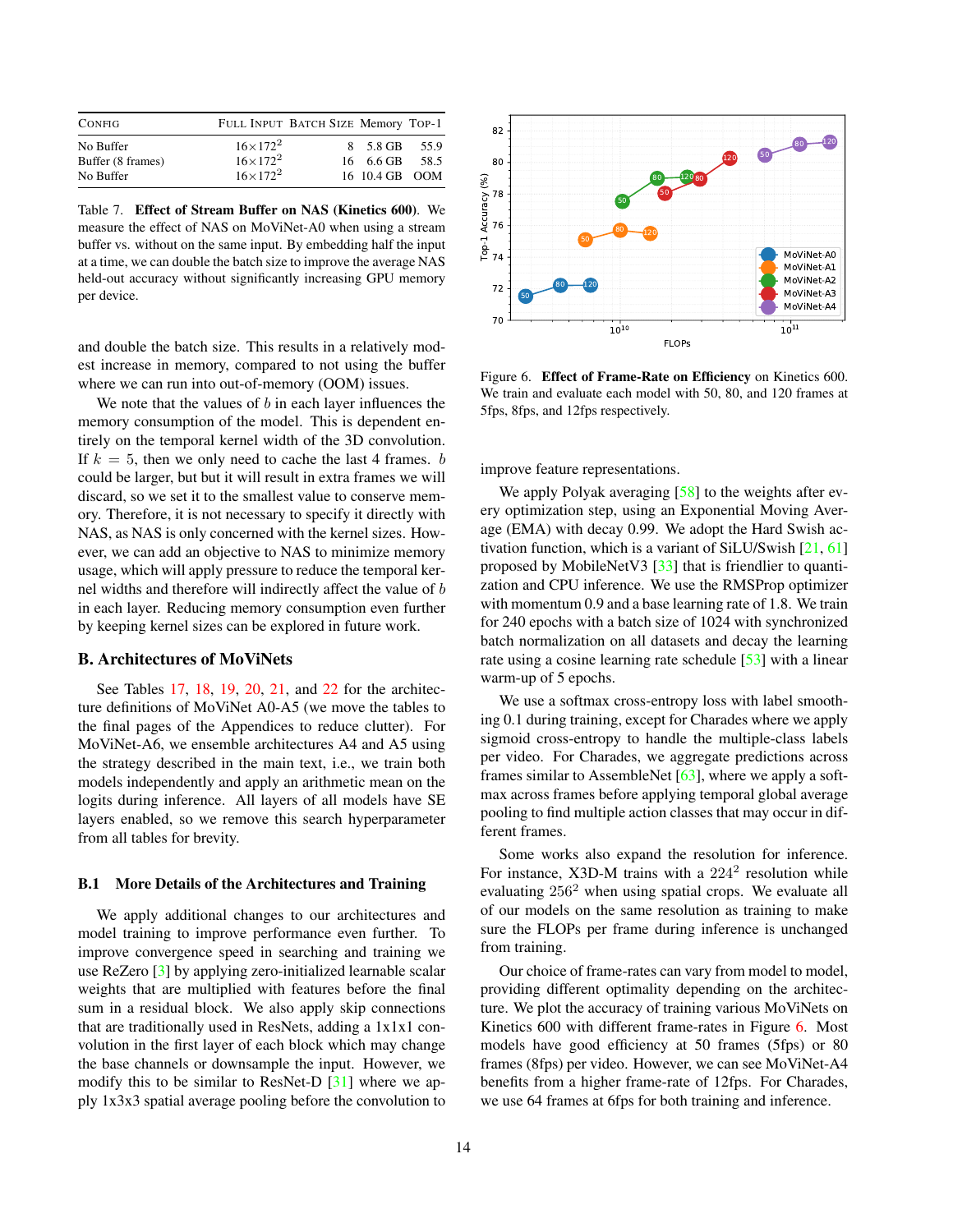<span id="page-13-1"></span>

| <b>CONFIG</b>                               |                                                             | FULL INPUT BATCH SIZE Memory TOP-1 |                                              |      |
|---------------------------------------------|-------------------------------------------------------------|------------------------------------|----------------------------------------------|------|
| No Buffer<br>Buffer (8 frames)<br>No Buffer | $16 \times 172^2$<br>$16 \times 172^2$<br>$16 \times 172^2$ |                                    | 8 5.8 GB 55.9<br>16 6.6 GB<br>16 10.4 GB OOM | 58.5 |

<span id="page-13-2"></span>Table 7. Effect of Stream Buffer on NAS (Kinetics 600). We measure the effect of NAS on MoViNet-A0 when using a stream buffer vs. without on the same input. By embedding half the input at a time, we can double the batch size to improve the average NAS held-out accuracy without significantly increasing GPU memory per device.

and double the batch size. This results in a relatively modest increase in memory, compared to not using the buffer where we can run into out-of-memory (OOM) issues.

We note that the values of  $b$  in each layer influences the memory consumption of the model. This is dependent entirely on the temporal kernel width of the 3D convolution. If  $k = 5$ , then we only need to cache the last 4 frames. b could be larger, but but it will result in extra frames we will discard, so we set it to the smallest value to conserve memory. Therefore, it is not necessary to specify it directly with NAS, as NAS is only concerned with the kernel sizes. However, we can add an objective to NAS to minimize memory usage, which will apply pressure to reduce the temporal kernel widths and therefore will indirectly affect the value of b in each layer. Reducing memory consumption even further by keeping kernel sizes can be explored in future work.

### <span id="page-13-0"></span>B. Architectures of MoViNets

See Tables [17,](#page-18-0) [18,](#page-18-1) [19,](#page-18-2) [20,](#page-19-0) [21,](#page-19-1) and [22](#page-20-0) for the architecture definitions of MoViNet A0-A5 (we move the tables to the final pages of the Appendices to reduce clutter). For MoViNet-A6, we ensemble architectures A4 and A5 using the strategy described in the main text, i.e., we train both models independently and apply an arithmetic mean on the logits during inference. All layers of all models have SE layers enabled, so we remove this search hyperparameter from all tables for brevity.

### B.1 More Details of the Architectures and Training

We apply additional changes to our architectures and model training to improve performance even further. To improve convergence speed in searching and training we use ReZero [\[3\]](#page-8-12) by applying zero-initialized learnable scalar weights that are multiplied with features before the final sum in a residual block. We also apply skip connections that are traditionally used in ResNets, adding a 1x1x1 convolution in the first layer of each block which may change the base channels or downsample the input. However, we modify this to be similar to ResNet-D [\[31\]](#page-9-24) where we apply 1x3x3 spatial average pooling before the convolution to



<span id="page-13-3"></span>Figure 6. Effect of Frame-Rate on Efficiency on Kinetics 600. We train and evaluate each model with 50, 80, and 120 frames at 5fps, 8fps, and 12fps respectively.

improve feature representations.

We apply Polyak averaging  $[58]$  to the weights after every optimization step, using an Exponential Moving Average (EMA) with decay 0.99. We adopt the Hard Swish activation function, which is a variant of SiLU/Swish [\[21,](#page-9-25) [61\]](#page-10-24) proposed by MobileNetV3 [\[33\]](#page-9-2) that is friendlier to quantization and CPU inference. We use the RMSProp optimizer with momentum 0.9 and a base learning rate of 1.8. We train for 240 epochs with a batch size of 1024 with synchronized batch normalization on all datasets and decay the learning rate using a cosine learning rate schedule [\[53\]](#page-10-25) with a linear warm-up of 5 epochs.

We use a softmax cross-entropy loss with label smoothing 0.1 during training, except for Charades where we apply sigmoid cross-entropy to handle the multiple-class labels per video. For Charades, we aggregate predictions across frames similar to AssembleNet [\[63\]](#page-10-0), where we apply a softmax across frames before applying temporal global average pooling to find multiple action classes that may occur in different frames.

Some works also expand the resolution for inference. For instance, X3D-M trains with a  $224^2$  resolution while evaluating  $256<sup>2</sup>$  when using spatial crops. We evaluate all of our models on the same resolution as training to make sure the FLOPs per frame during inference is unchanged from training.

Our choice of frame-rates can vary from model to model, providing different optimality depending on the architecture. We plot the accuracy of training various MoViNets on Kinetics 600 with different frame-rates in Figure [6.](#page-13-3) Most models have good efficiency at 50 frames (5fps) or 80 frames (8fps) per video. However, we can see MoViNet-A4 benefits from a higher frame-rate of 12fps. For Charades, we use 64 frames at 6fps for both training and inference.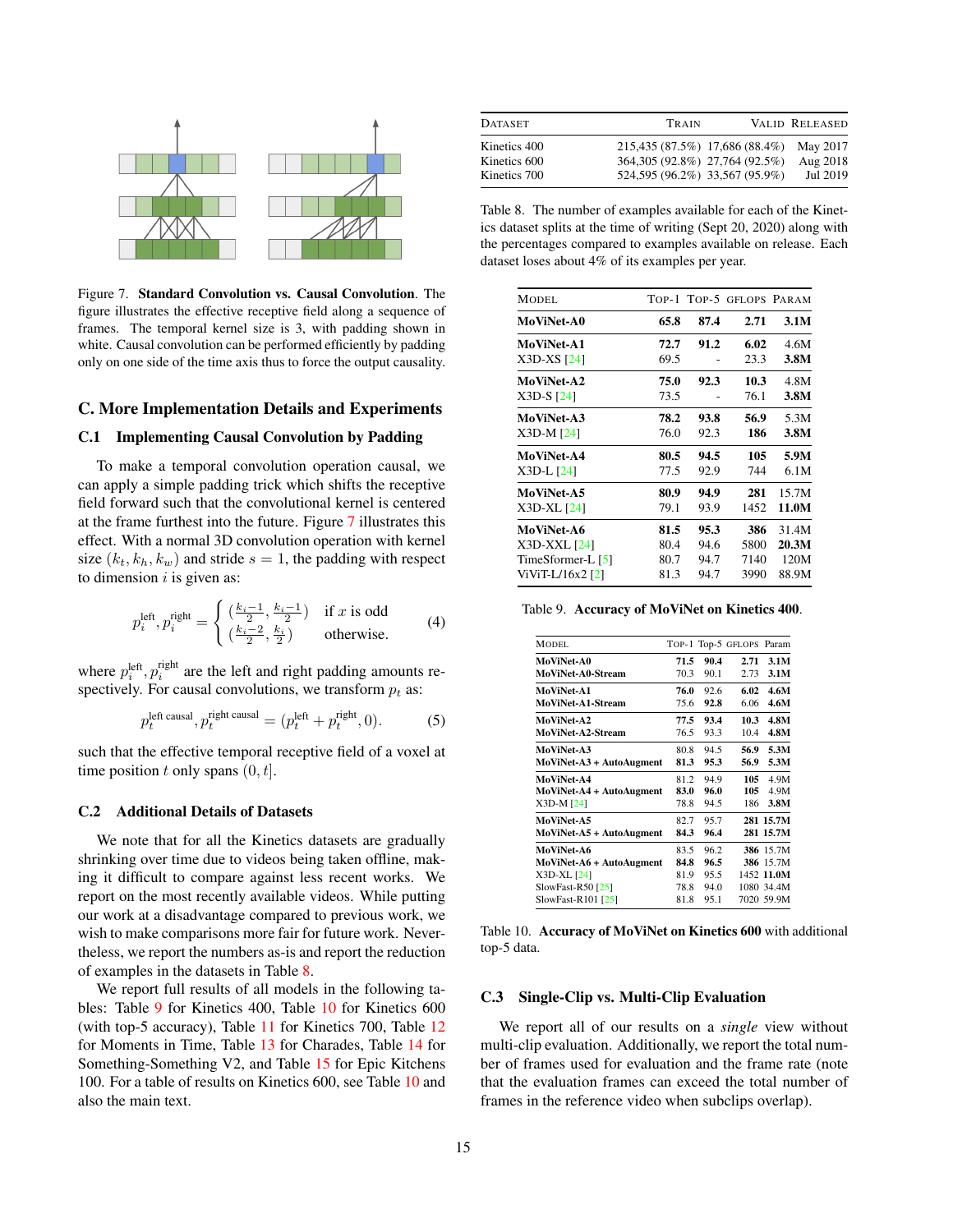<span id="page-14-1"></span>

<span id="page-14-2"></span>Figure 7. Standard Convolution vs. Causal Convolution. The figure illustrates the effective receptive field along a sequence of frames. The temporal kernel size is 3, with padding shown in white. Causal convolution can be performed efficiently by padding only on one side of the time axis thus to force the output causality.

# <span id="page-14-0"></span>C. More Implementation Details and Experiments

### C.1 Implementing Causal Convolution by Padding

To make a temporal convolution operation causal, we can apply a simple padding trick which shifts the receptive field forward such that the convolutional kernel is centered at the frame furthest into the future. Figure [7](#page-14-2) illustrates this effect. With a normal 3D convolution operation with kernel size  $(k_t, k_h, k_w)$  and stride  $s = 1$ , the padding with respect to dimension  $i$  is given as:

$$
p_i^{\text{left}}, p_i^{\text{right}} = \begin{cases} \left(\frac{k_i - 1}{2}, \frac{k_i - 1}{2}\right) & \text{if } x \text{ is odd} \\ \left(\frac{k_i - 2}{2}, \frac{k_i}{2}\right) & \text{otherwise.} \end{cases} (4)
$$

where  $p_i^{\text{left}}$ ,  $p_i^{\text{right}}$  are the left and right padding amounts respectively. For causal convolutions, we transform  $p_t$  as:

$$
p_t^{\text{left causal}}, p_t^{\text{right causal}} = (p_t^{\text{left}} + p_t^{\text{right}}, 0). \tag{5}
$$

such that the effective temporal receptive field of a voxel at time position t only spans  $(0, t]$ .

#### C.2 Additional Details of Datasets

We note that for all the Kinetics datasets are gradually shrinking over time due to videos being taken offline, making it difficult to compare against less recent works. We report on the most recently available videos. While putting our work at a disadvantage compared to previous work, we wish to make comparisons more fair for future work. Nevertheless, we report the numbers as-is and report the reduction of examples in the datasets in Table [8.](#page-14-3)

We report full results of all models in the following tables: Table [9](#page-14-4) for Kinetics 400, Table [10](#page-14-5) for Kinetics 600 (with top-5 accuracy), Table [11](#page-15-1) for Kinetics 700, Table [12](#page-15-2) for Moments in Time, Table [13](#page-15-3) for Charades, Table [14](#page-15-4) for Something-Something V2, and Table [15](#page-15-5) for Epic Kitchens 100. For a table of results on Kinetics 600, see Table [10](#page-14-5) and also the main text.

| <b>DATASET</b> | TRAIN                                   | VALID RELEASED |
|----------------|-----------------------------------------|----------------|
| Kinetics 400   | 215,435 (87.5%) 17,686 (88.4%) May 2017 |                |
| Kinetics 600   | 364,305 (92.8%) 27,764 (92.5%)          | Aug 2018       |
| Kinetics 700   | 524,595 (96.2%) 33,567 (95.9%)          | Jul 2019       |

<span id="page-14-3"></span>Table 8. The number of examples available for each of the Kinetics dataset splits at the time of writing (Sept 20, 2020) along with the percentages compared to examples available on release. Each dataset loses about 4% of its examples per year.

| <b>MODEL</b>       |      |      | TOP-1 TOP-5 GFLOPS PARAM |       |
|--------------------|------|------|--------------------------|-------|
| <b>MoViNet-A0</b>  | 65.8 | 87.4 | 2.71                     | 3.1M  |
| MoViNet-A1         | 72.7 | 91.2 | 6.02                     | 4.6M  |
| X3D-XS [24]        | 69.5 |      | 23.3                     | 3.8M  |
| MoViNet-A2         | 75.0 | 92.3 | 10.3                     | 4.8M  |
| $X3D-S$ $[24]$     | 73.5 |      | 76.1                     | 3.8M  |
| MoViNet-A3         | 78.2 | 93.8 | 56.9                     | 5.3M  |
| $X3D-M [24]$       | 76.0 | 92.3 | 186                      | 3.8M  |
| MoViNet-A4         | 80.5 | 94.5 | 105                      | 5.9M  |
| X3D-L [24]         | 77.5 | 92.9 | 744                      | 6.1M  |
| MoViNet-A5         | 80.9 | 94.9 | 281                      | 15.7M |
| X3D-XL [24]        | 79.1 | 93.9 | 1452                     | 11.0M |
| <b>MoViNet-A6</b>  | 81.5 | 95.3 | 386                      | 31.4M |
| X3D-XXL [24]       | 80.4 | 94.6 | 5800                     | 20.3M |
| TimeSformer-L [5]  | 80.7 | 94.7 | 7140                     | 120M  |
| ViViT-L/16x2 $[2]$ | 81.3 | 94.7 | 3990                     | 88.9M |

<span id="page-14-4"></span>Table 9. Accuracy of MoViNet on Kinetics 400.

| <b>MODEL</b>             |      |      | TOP-1 Top-5 GFLOPS Param |            |
|--------------------------|------|------|--------------------------|------------|
| MoViNet-A0               | 71.5 | 90.4 | 2.71                     | 3.1M       |
| MoViNet-A0-Stream        | 70.3 | 90.1 | 2.73                     | 3.1M       |
| MoViNet A1               | 76.0 | 92.6 | 6.02                     | 4.6M       |
| MoViNet-A1-Stream        | 75.6 | 92.8 | 6.06                     | 4.6M       |
| MoViNet-A2               | 77.5 | 93.4 | 10.3                     | 4.8M       |
| <b>MoViNet-A2-Stream</b> | 76.5 | 93.3 | 10.4                     | 4.8M       |
| MoViNet-A3               | 80.8 | 94.5 | 56.9                     | 5.3M       |
| MoViNet-A3 + AutoAugment | 81.3 | 95.3 | 56.9                     | 5.3M       |
| MoViNet-A4               | 81.2 | 94.9 | 105                      | 4.9M       |
| MoViNet-A4 + AutoAugment | 83.0 | 96.0 | 105                      | 4.9M       |
| $X3D-M [24]$             | 78.8 | 94.5 | 186                      | 3.8M       |
| MoViNet-A5               | 82.7 | 95.7 |                          | 281 15.7M  |
| MoViNet-A5 + AutoAugment | 84.3 | 96.4 |                          | 281 15.7M  |
| MoViNet-A6               | 83.5 | 96.2 |                          | 386 15.7M  |
| MoViNet-A6 + AutoAugment | 84.8 | 96.5 |                          | 386 15.7M  |
| X3D-XL [24]              | 81.9 | 95.5 |                          | 1452 11.0M |
| SlowFast-R50 $[25]$      | 78.8 | 94.0 |                          | 1080 34.4M |
| SlowFast-R101 $[25]$     | 81.8 | 95.1 |                          | 7020 59.9M |
|                          |      |      |                          |            |

<span id="page-14-5"></span>Table 10. Accuracy of MoViNet on Kinetics 600 with additional top-5 data.

#### C.3 Single-Clip vs. Multi-Clip Evaluation

We report all of our results on a *single* view without multi-clip evaluation. Additionally, we report the total number of frames used for evaluation and the frame rate (note that the evaluation frames can exceed the total number of frames in the reference video when subclips overlap).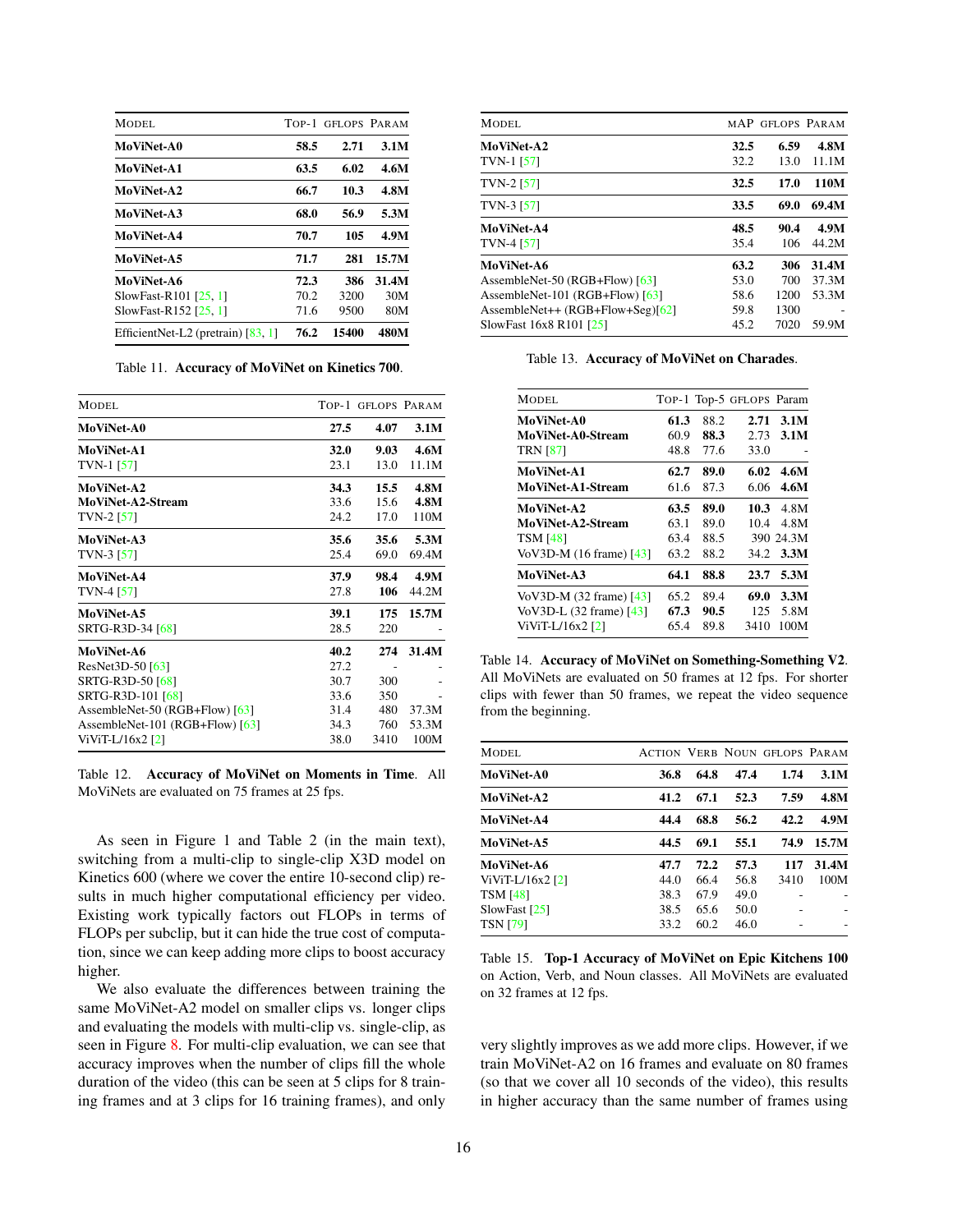<span id="page-15-0"></span>

| MODEL.                               | TOP-1 | <b>GFLOPS PARAM</b> |       |
|--------------------------------------|-------|---------------------|-------|
| MoViNet-A0                           | 58.5  | 2.71                | 3.1M  |
| <b>MoViNet-A1</b>                    | 63.5  | 6.02                | 4.6M  |
| MoViNet-A2                           | 66.7  | 10.3                | 4.8M  |
| MoViNet-A3                           | 68.0  | 56.9                | 5.3M  |
| MoViNet-A4                           | 70.7  | 105                 | 4.9M  |
| MoViNet-A5                           | 71.7  | 281                 | 15.7M |
| MoViNet-A6                           | 72.3  | 386                 | 31.4M |
| SlowFast-R101 [25, 1]                | 70.2  | 3200                | 30M   |
| SlowFast-R152 [25, 1]                | 71.6  | 9500                | 80M   |
| EfficientNet-L2 (pretrain) $[83, 1]$ | 76.2  | 15400               | 480M  |

<span id="page-15-1"></span>Table 11. Accuracy of MoViNet on Kinetics 700.

| MODEL.                            |             | TOP-1 GELOPS PARAM |       |
|-----------------------------------|-------------|--------------------|-------|
| <b>MoViNet-A0</b>                 | 27.5        | 4.07               | 3.1M  |
| <b>MoViNet-A1</b>                 | <b>32.0</b> | 9.03               | 4.6M  |
| TVN-1 [57]                        | 23.1        | 13.0               | 11.1M |
| <b>MoViNet-A2</b>                 | 34.3        | 15.5               | 4.8M  |
| MoViNet-A2-Stream                 | 33.6        | 15.6               | 4.8M  |
| TVN-2 $[57]$                      | 24.2        | 17.0               | 110M  |
| MoViNet-A3                        | 35.6        | 35.6               | 5.3M  |
| TVN-3 $[57]$                      | 25.4        | 69.0               | 69.4M |
| MoViNet-A4                        | 37.9        | 98.4               | 4.9M  |
| TVN-4 $[57]$                      | 27.8        | 106                | 44.2M |
| MoViNet-A5                        | 39.1        | 175                | 15.7M |
| SRTG-R3D-34 [68]                  | 28.5        | 220                |       |
| MoViNet-A6                        | 40.2        | 274                | 31.4M |
| ResNet3D-50 [63]                  | 27.2        |                    |       |
| SRTG-R3D-50 [68]                  | 30.7        | 300                |       |
| SRTG-R3D-101 [68]                 | 33.6        | 350                |       |
| AssembleNet-50 (RGB+Flow) $[63]$  | 31.4        | 480                | 37.3M |
| AssembleNet-101 (RGB+Flow) $[63]$ | 34.3        | 760                | 53.3M |
| $ViViT-L/16x2 [2]$                | 38.0        | 3410               | 100M  |

<span id="page-15-2"></span>Table 12. Accuracy of MoViNet on Moments in Time. All MoViNets are evaluated on 75 frames at 25 fps.

As seen in Figure 1 and Table 2 (in the main text), switching from a multi-clip to single-clip X3D model on Kinetics 600 (where we cover the entire 10-second clip) results in much higher computational efficiency per video. Existing work typically factors out FLOPs in terms of FLOPs per subclip, but it can hide the true cost of computation, since we can keep adding more clips to boost accuracy higher.

We also evaluate the differences between training the same MoViNet-A2 model on smaller clips vs. longer clips and evaluating the models with multi-clip vs. single-clip, as seen in Figure [8.](#page-16-0) For multi-clip evaluation, we can see that accuracy improves when the number of clips fill the whole duration of the video (this can be seen at 5 clips for 8 training frames and at 3 clips for 16 training frames), and only

| MODEL.                            |      | MAP GFLOPS PARAM |       |
|-----------------------------------|------|------------------|-------|
| MoViNet-A2                        | 32.5 | 6.59             | 4.8M  |
| TVN-1 [57]                        | 32.2 | 13.0             | 11.1M |
| $TVN-2 [57]$                      | 32.5 | 17.0             | 110M  |
| TVN-3 $[57]$                      | 33.5 | 69.0             | 69.4M |
| MoViNet-A4                        | 48.5 | 90.4             | 4.9M  |
| TVN-4 [57]                        | 35.4 | 106              | 44.2M |
| MoViNet-A6                        | 63.2 | 306              | 31.4M |
| AssembleNet-50 (RGB+Flow) [63]    | 53.0 | 700              | 37.3M |
| AssembleNet-101 (RGB+Flow) $[63]$ | 58.6 | 1200             | 53.3M |
| AssembleNet++ (RGB+Flow+Seg)[62]  | 59.8 | 1300             |       |
| SlowFast 16x8 R101 [25]           | 45.2 | 7020             | 59.9M |

<span id="page-15-3"></span>Table 13. Accuracy of MoViNet on Charades.

| MODEL.                  |      |      | TOP-1 Top-5 GFLOPS Param |           |
|-------------------------|------|------|--------------------------|-----------|
| MoViNet-A0              | 61.3 | 88.2 | 2.71                     | 3.1M      |
| MoViNet-A0-Stream       | 60.9 | 88.3 | 2.73                     | 3.1M      |
| <b>TRN [87]</b>         | 48.8 | 77.6 | 33.0                     |           |
| MoViNet-A1              | 62.7 | 89.0 | 6.02                     | 4.6M      |
| MoViNet-A1-Stream       | 61.6 | 87.3 | 6.06                     | 4.6M      |
| MoViNet-A2              | 63.5 | 89.0 | 10.3                     | 4.8M      |
| MoViNet-A2-Stream       | 63.1 | 89.0 | 10.4                     | 4.8M      |
| <b>TSM [48]</b>         | 63.4 | 88.5 |                          | 390 24.3M |
| VoV3D-M (16 frame) [43] | 63.2 | 88.2 | 34.2                     | 3.3M      |
| MoViNet-A3              | 64.1 | 88.8 | 23.7                     | 5.3M      |
| VoV3D-M (32 frame) [43] | 65.2 | 89.4 | 69.0                     | 3.3M      |
| VoV3D-L (32 frame) [43] | 67.3 | 90.5 | 125                      | 5.8M      |
| ViViT-L/16x2 [2]        | 65.4 | 89.8 | 3410                     | 100M      |

<span id="page-15-4"></span>Table 14. Accuracy of MoViNet on Something-Something V2. All MoViNets are evaluated on 50 frames at 12 fps. For shorter clips with fewer than 50 frames, we repeat the video sequence from the beginning.

| MODEL.            |      |      |      | <b>ACTION VERB NOUN GELOPS PARAM</b> |       |
|-------------------|------|------|------|--------------------------------------|-------|
| <b>MoViNet-A0</b> | 36.8 | 64.8 | 47.4 | 1.74                                 | 3.1M  |
| <b>MoViNet-A2</b> | 41.2 | 67.1 | 52.3 | 7.59                                 | 4.8M  |
| <b>MoViNet-A4</b> | 44.4 | 68.8 | 56.2 | 42.2                                 | 4.9M  |
| <b>MoViNet-A5</b> | 44.5 | 69.1 | 55.1 | 74.9                                 | 15.7M |
| <b>MoViNet-A6</b> | 47.7 | 72.2 | 57.3 | 117                                  | 31.4M |
| ViViT-L/16x2 [2]  | 44.0 | 66.4 | 56.8 | 3410                                 | 100M  |
| TSM [48]          | 38.3 | 67.9 | 49.0 |                                      |       |
| SlowFast [25]     | 38.5 | 65.6 | 50.0 |                                      |       |
| TSN [79]          | 33.2 | 60.2 | 46.0 |                                      |       |
|                   |      |      |      |                                      |       |

<span id="page-15-5"></span>Table 15. Top-1 Accuracy of MoViNet on Epic Kitchens 100 on Action, Verb, and Noun classes. All MoViNets are evaluated on 32 frames at 12 fps.

very slightly improves as we add more clips. However, if we train MoViNet-A2 on 16 frames and evaluate on 80 frames (so that we cover all 10 seconds of the video), this results in higher accuracy than the same number of frames using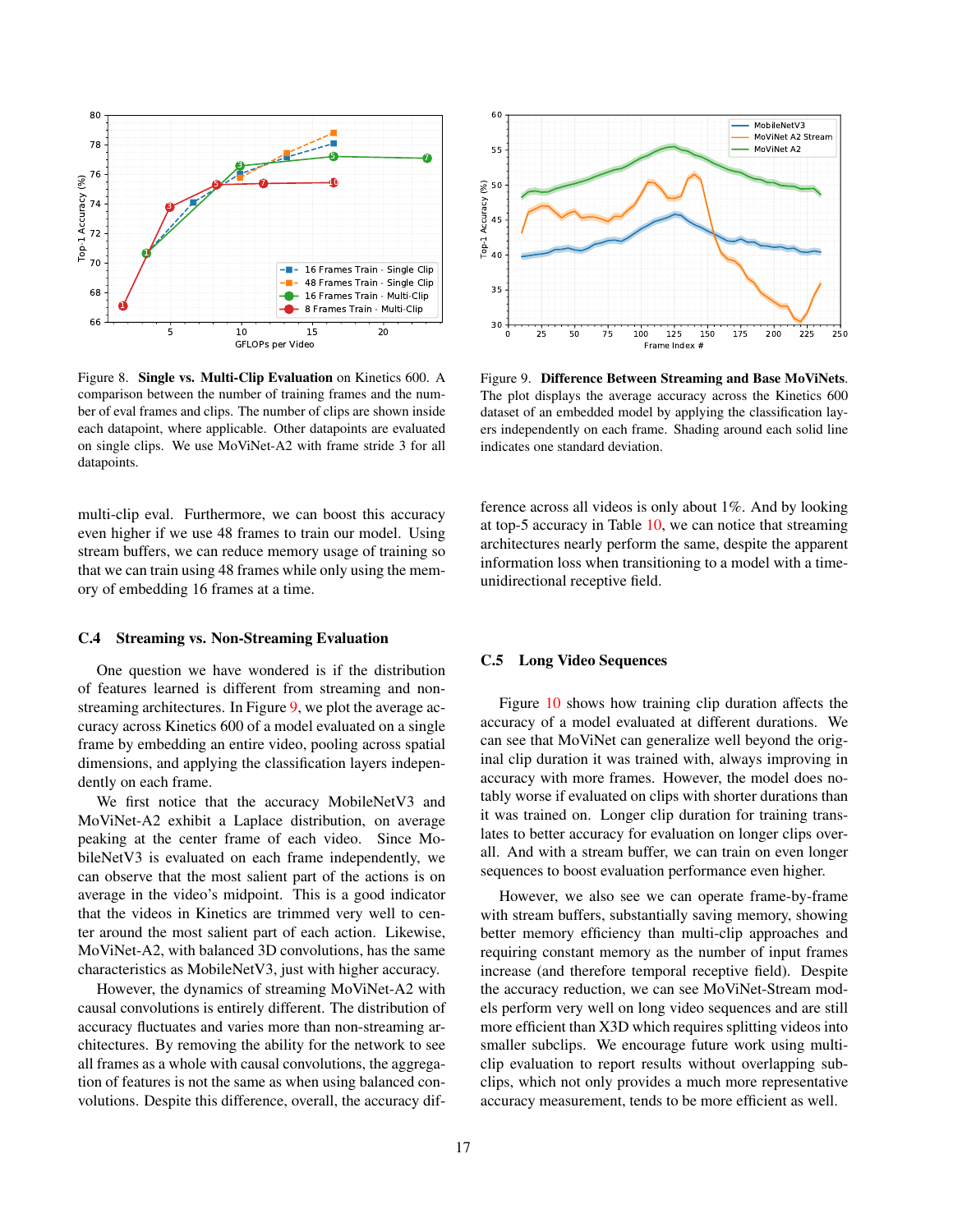

<span id="page-16-0"></span>Figure 8. Single vs. Multi-Clip Evaluation on Kinetics 600. A comparison between the number of training frames and the number of eval frames and clips. The number of clips are shown inside each datapoint, where applicable. Other datapoints are evaluated on single clips. We use MoViNet-A2 with frame stride 3 for all datapoints.

multi-clip eval. Furthermore, we can boost this accuracy even higher if we use 48 frames to train our model. Using stream buffers, we can reduce memory usage of training so that we can train using 48 frames while only using the memory of embedding 16 frames at a time.

### C.4 Streaming vs. Non-Streaming Evaluation

One question we have wondered is if the distribution of features learned is different from streaming and nonstreaming architectures. In Figure [9,](#page-16-1) we plot the average accuracy across Kinetics 600 of a model evaluated on a single frame by embedding an entire video, pooling across spatial dimensions, and applying the classification layers independently on each frame.

We first notice that the accuracy MobileNetV3 and MoViNet-A2 exhibit a Laplace distribution, on average peaking at the center frame of each video. Since MobileNetV3 is evaluated on each frame independently, we can observe that the most salient part of the actions is on average in the video's midpoint. This is a good indicator that the videos in Kinetics are trimmed very well to center around the most salient part of each action. Likewise, MoViNet-A2, with balanced 3D convolutions, has the same characteristics as MobileNetV3, just with higher accuracy.

However, the dynamics of streaming MoViNet-A2 with causal convolutions is entirely different. The distribution of accuracy fluctuates and varies more than non-streaming architectures. By removing the ability for the network to see all frames as a whole with causal convolutions, the aggregation of features is not the same as when using balanced convolutions. Despite this difference, overall, the accuracy dif-



<span id="page-16-1"></span>Figure 9. Difference Between Streaming and Base MoViNets. The plot displays the average accuracy across the Kinetics 600 dataset of an embedded model by applying the classification layers independently on each frame. Shading around each solid line indicates one standard deviation.

ference across all videos is only about 1%. And by looking at top-5 accuracy in Table [10,](#page-14-5) we can notice that streaming architectures nearly perform the same, despite the apparent information loss when transitioning to a model with a timeunidirectional receptive field.

### C.5 Long Video Sequences

Figure [10](#page-17-1) shows how training clip duration affects the accuracy of a model evaluated at different durations. We can see that MoViNet can generalize well beyond the original clip duration it was trained with, always improving in accuracy with more frames. However, the model does notably worse if evaluated on clips with shorter durations than it was trained on. Longer clip duration for training translates to better accuracy for evaluation on longer clips overall. And with a stream buffer, we can train on even longer sequences to boost evaluation performance even higher.

However, we also see we can operate frame-by-frame with stream buffers, substantially saving memory, showing better memory efficiency than multi-clip approaches and requiring constant memory as the number of input frames increase (and therefore temporal receptive field). Despite the accuracy reduction, we can see MoViNet-Stream models perform very well on long video sequences and are still more efficient than X3D which requires splitting videos into smaller subclips. We encourage future work using multiclip evaluation to report results without overlapping subclips, which not only provides a much more representative accuracy measurement, tends to be more efficient as well.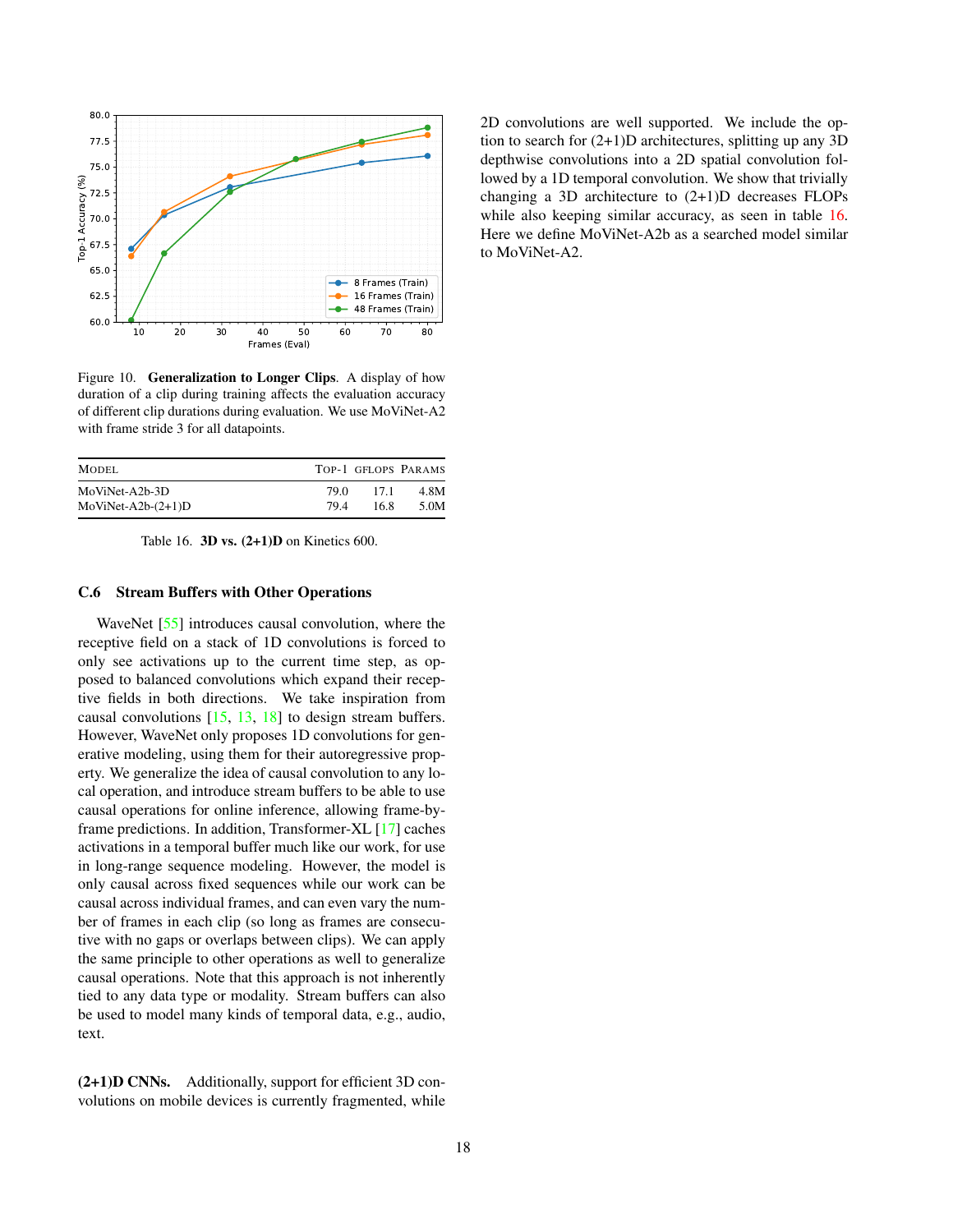<span id="page-17-0"></span>

<span id="page-17-1"></span>Figure 10. Generalization to Longer Clips. A display of how duration of a clip during training affects the evaluation accuracy of different clip durations during evaluation. We use MoViNet-A2 with frame stride 3 for all datapoints.

| MODEL.               |      |      | TOP-1 GFLOPS PARAMS |
|----------------------|------|------|---------------------|
| MoViNet-A2b-3D       | 79.O | 17.1 | 4.8M                |
| $MoViNet-A2b-(2+1)D$ | 794  | 16.8 | 5.0M                |

<span id="page-17-2"></span>Table 16. 3D vs.  $(2+1)$ D on Kinetics 600.

### C.6 Stream Buffers with Other Operations

WaveNet [\[55\]](#page-10-4) introduces causal convolution, where the receptive field on a stack of 1D convolutions is forced to only see activations up to the current time step, as opposed to balanced convolutions which expand their receptive fields in both directions. We take inspiration from causal convolutions  $[15, 13, 18]$  $[15, 13, 18]$  $[15, 13, 18]$  $[15, 13, 18]$  $[15, 13, 18]$  to design stream buffers. However, WaveNet only proposes 1D convolutions for generative modeling, using them for their autoregressive property. We generalize the idea of causal convolution to any local operation, and introduce stream buffers to be able to use causal operations for online inference, allowing frame-byframe predictions. In addition, Transformer-XL [\[17\]](#page-9-15) caches activations in a temporal buffer much like our work, for use in long-range sequence modeling. However, the model is only causal across fixed sequences while our work can be causal across individual frames, and can even vary the number of frames in each clip (so long as frames are consecutive with no gaps or overlaps between clips). We can apply the same principle to other operations as well to generalize causal operations. Note that this approach is not inherently tied to any data type or modality. Stream buffers can also be used to model many kinds of temporal data, e.g., audio, text.

(2+1)D CNNs. Additionally, support for efficient 3D convolutions on mobile devices is currently fragmented, while 2D convolutions are well supported. We include the option to search for (2+1)D architectures, splitting up any 3D depthwise convolutions into a 2D spatial convolution followed by a 1D temporal convolution. We show that trivially changing a 3D architecture to (2+1)D decreases FLOPs while also keeping similar accuracy, as seen in table [16.](#page-17-2) Here we define MoViNet-A2b as a searched model similar to MoViNet-A2.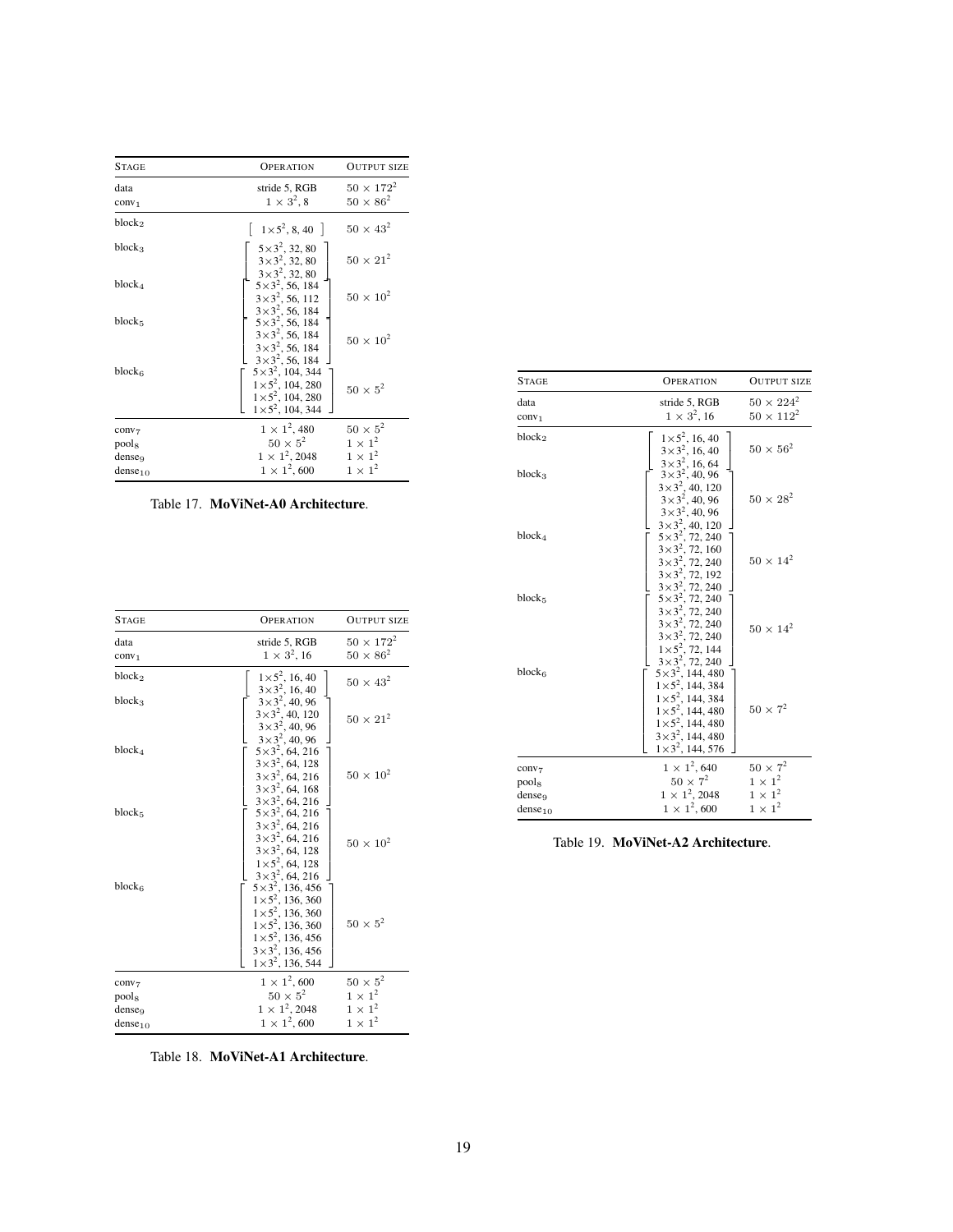| <b>STAGE</b>                                     | <b>OPER ATION</b>                                                                                                | <b>OUTPUT SIZE</b>                                  |
|--------------------------------------------------|------------------------------------------------------------------------------------------------------------------|-----------------------------------------------------|
| data<br>conv <sub>1</sub>                        | stride 5, RGB<br>$1 \times 3^2$ , 8                                                                              | $50 \times 172^2$<br>$50 \times 86^2$               |
| block <sub>2</sub>                               | $ 1 \times 5^2, 8, 40 $                                                                                          | $50 \times 43^2$                                    |
| blocka                                           | $5 \times 3^2$ , 32, 80<br>$3 \times 3^2$ , 32, 80<br>$3 \times 3^2$ , 32, 80                                    | $50 \times 21^2$                                    |
| $block_{4}$                                      | $5 \times 3^2$ , 56, 184<br>$3\times3^2$ , 56, 112<br>$3 \times 3^2$ , 56, 184                                   | $50 \times 10^2$                                    |
| block <sub>5</sub>                               | $5 \times 3^2$ , 56, 184<br>$3\times3^2$ , 56, 184<br>$3 \times 3^2$ , 56, 184<br>$3\times3^2$ , 56, 184         | $50 \times 10^2$                                    |
| $block_{6}$                                      | $5 \times 3^2$ , 104, 344<br>$1 \times 5^2$ , 104, 280<br>$1 \times 5^2$ , 104, 280<br>$1 \times 5^2$ , 104, 344 | $50 \times 5^2$                                     |
| conv <sub>7</sub><br>pools<br>dense <sub>9</sub> | $1 \times 1^2$ , 480<br>$50 \times 5^2$<br>$1 \times 1^2$ , 2048                                                 | $50 \times 5^2$<br>$1 \times 1^2$<br>$1 \times 1^2$ |
| $dense_{10}$                                     | $1 \times 1^2,600$                                                                                               | $1 \times 1^2$                                      |

<span id="page-18-0"></span>Table 17. MoViNet-A0 Architecture.

| <b>STAGE</b>        | <b>OPERATION</b>                                                                                                                                                                                                          | <b>OUTPUT SIZE</b> |
|---------------------|---------------------------------------------------------------------------------------------------------------------------------------------------------------------------------------------------------------------------|--------------------|
| data                | stride 5, RGB                                                                                                                                                                                                             | $50 \times 172^2$  |
| conv <sub>1</sub>   | $1 \times 3^2$ , 16                                                                                                                                                                                                       | $50 \times 86^2$   |
| block <sub>2</sub>  | $1 \times 5^2$ , 16, 40<br>$3 \times 3^2$ , 16, 40                                                                                                                                                                        | $50 \times 43^2$   |
| block <sub>3</sub>  | $3 \times 3^2$ , 40, 96<br>$3 \times 3^2$ , 40, 120<br>$3 \times 3^2$ , 40, 96<br>$3\times3^2$ , 40, 96                                                                                                                   | $50 \times 21^2$   |
| $block_{4}$         | $5 \times 3^2$ , 64, 216<br>$3\times3^2$ , 64, 128<br>$3\times3^2$ , 64, 216<br>$3\times3^2$ , 64, 168<br>$3\times3^2$ , 64, 216                                                                                          | $50 \times 10^2$   |
| block <sub>5</sub>  | $5 \times 3^2$ , 64, 216<br>$3\times3^2$ , 64, 216<br>$3\times3^2$ , 64, 216<br>$3 \times 3^2$ , 64, 128<br>$1 \times 5^2$ , 64, 128                                                                                      | $50 \times 10^2$   |
| $block_6$           | $3\times3^2$ , 64, 216<br>$5 \times 3^2$ , 136, 456<br>$1 \times 5^2$ , 136, 360<br>$1\times5^2$ , 136, 360<br>$1\times5^2$ , 136, 360<br>$1 \times 5^2$ , 136, 456<br>$3\times3^2$ , 136, 456<br>$1\times3^2$ , 136, 544 | $50 \times 5^2$    |
| conv <sub>7</sub>   | $1 \times 1^2,600$                                                                                                                                                                                                        | $50 \times 5^2$    |
| pool <sub>8</sub>   | $50 \times 5^2$                                                                                                                                                                                                           | $1 \times 1^2$     |
| denseq              | $1 \times 1^2$ , 2048                                                                                                                                                                                                     | $1 \times 1^2$     |
| dense <sub>10</sub> | $1 \times 1^2$ , 600                                                                                                                                                                                                      | $1 \times 1^2$     |

<span id="page-18-1"></span>Table 18. MoViNet-A1 Architecture.

| <b>STAGE</b>                                            | <b>OPERATION</b>                                                                                                                                                                                                             | <b>OUTPUT SIZE</b>                     |
|---------------------------------------------------------|------------------------------------------------------------------------------------------------------------------------------------------------------------------------------------------------------------------------------|----------------------------------------|
| data<br>conv <sub>1</sub>                               | stride 5, RGB<br>$1 \times 3^2$ , 16                                                                                                                                                                                         | $50 \times 224^2$<br>$50 \times 112^2$ |
| block <sub>2</sub>                                      | $1 \times 5^2$ , 16, 40<br>$3 \times 3^2$ , 16, 40<br>$3 \times 3^2$ , 16, 64                                                                                                                                                | $50 \times 56^2$                       |
| block <sub>3</sub>                                      | $3 \times 3^2$ , 40, 96<br>$3 \times 3^2$ , 40, 120<br>$3 \times 3^2$ , 40, 96<br>$3 \times 3^2$ , 40, 96<br>$3 \times 3^2$ , 40, 120                                                                                        | $50 \times 28^2$                       |
| block <sub>4</sub>                                      | $5 \times 3^2$ , 72, 240<br>$3 \times 3^2$ , 72, 160<br>$3 \times 3^3$ , 72, 160<br>$3 \times 3^2$ , 72, 240<br>$3 \times 3^2$ , 72, 192<br>$3 \times 3^2$ , 72, 240<br>$5 \times 3^2$ , 72, 240<br>$3 \times 3^2$ , 72, 240 | $50 \times 14^2$                       |
| block <sub>5</sub>                                      | $3\times3^2$ , 72, 240<br>$3\times3^2$ , 72, 240<br>$3 \times 3^2$ , 72, 240<br>$1 \times 5^2$ , 72, 144<br>$3 \times 3^2$ , 72, 240                                                                                         | $50 \times 14^{2}$                     |
| block <sub>6</sub>                                      | $5 \times 3^2$ , 144, 480<br>$1 \times 5^2$ , 144, 384<br>$1 \times 5^2$ , 144, 384<br>$1 \times 5^2$ , 144, 480<br>$1 \times 5^2$ , 144, 480<br>$3\times3^2$ , 144, 480<br>$1\times3^2$ , 144, 576                          | $50 \times 7^2$                        |
| conv <sub>7</sub>                                       | $1 \times 1^2, 640$<br>$50 \times 7^2$                                                                                                                                                                                       | $50 \times 7^2$<br>$1 \times 1^2$      |
| pool <sub>8</sub><br>dense <sub>9</sub><br>$dense_{10}$ | $1 \times 1^2$ , 2048<br>$1 \times 1^2,600$                                                                                                                                                                                  | $1 \times 1^2$<br>$1 \times 1^2$       |

<span id="page-18-2"></span>Table 19. MoViNet-A2 Architecture.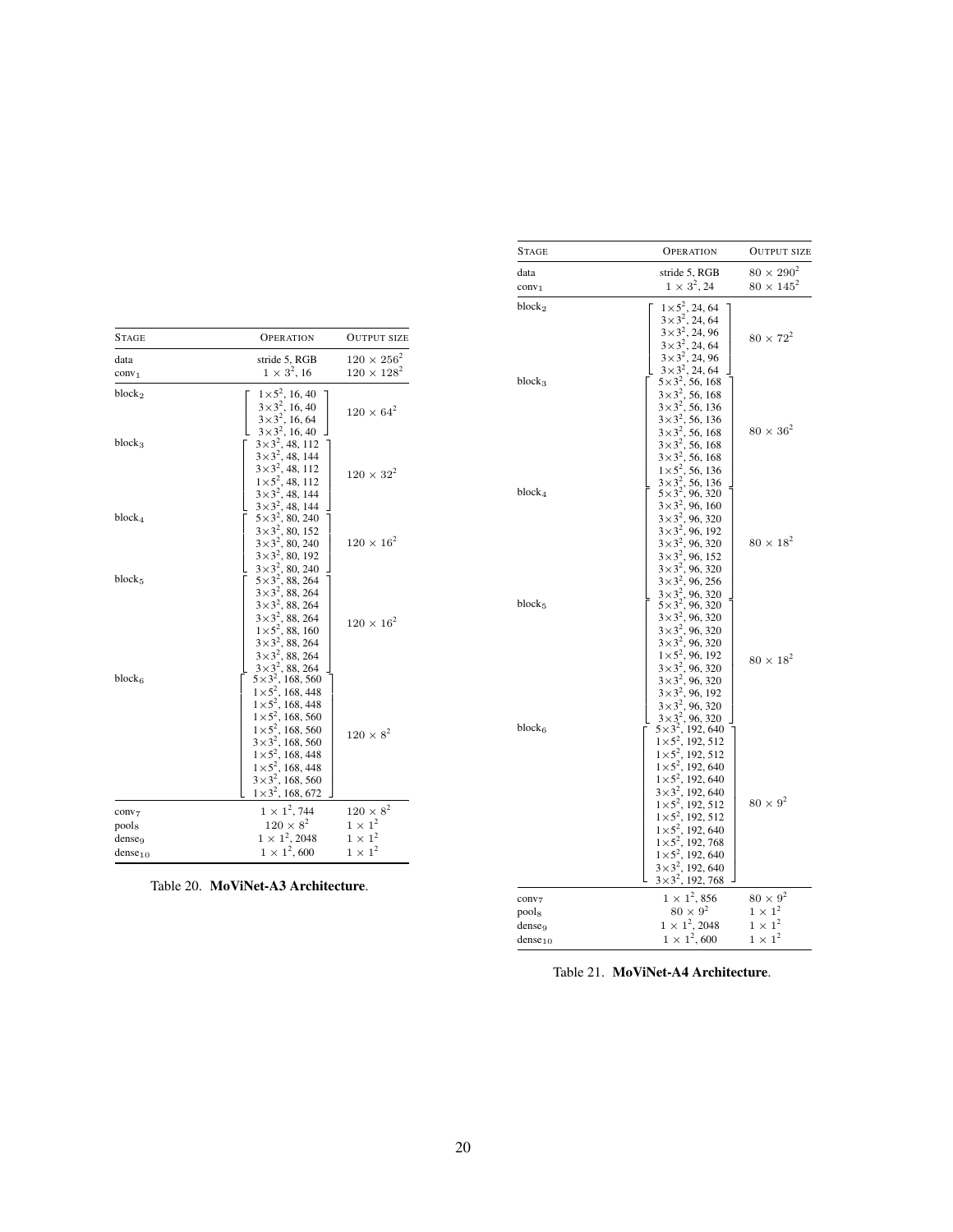| <b>STAGE</b>        | <b>OPERATION</b>                                                                                                                                                                                                                                                                               | <b>OUTPUT SIZE</b>   |
|---------------------|------------------------------------------------------------------------------------------------------------------------------------------------------------------------------------------------------------------------------------------------------------------------------------------------|----------------------|
| data                | stride 5, RGB                                                                                                                                                                                                                                                                                  | $120 \times 256^2$   |
| conv <sub>1</sub>   | $1 \times 3^2$ , 16                                                                                                                                                                                                                                                                            | $120 \times 128^{2}$ |
| block <sub>2</sub>  | $1 \times 5^2$ , 16, 40<br>$3 \times 3^2$ , 16, 40<br>$3 \times 3^2$ , 16, 64<br>$3 \times 3^2$ , 16, 40                                                                                                                                                                                       | $120 \times 64^{2}$  |
| block <sub>3</sub>  | $3\times3^2$ , 48, 112<br>$3\times3^2$ , 48, 144<br>$3\times3^2$ , 48, 112<br>$1 \times 5^2$ , 48, 112<br>$3 \times 3^2$ , 48, 144                                                                                                                                                             | $120 \times 32^{2}$  |
| $block_{4}$         | $3\times3^2$ , 48, 144<br>$5 \times 3^2$ , 80, 240<br>$3 \times 3^2$ , 80, 152<br>$3 \times 3^2$ , 80, 240<br>$3 \times 3^2$ , 80, 192<br>$3\times3^2$                                                                                                                                         | $120 \times 16^2$    |
| block <sub>5</sub>  | $3\times3^2$ , 80, 240<br>$5\times3^2$ , 88, 264<br>$3\times3^2$ , 88, 264<br>$3 \times 3^2$ , 88, 264<br>$3 \times 3^2$ , 88, 264<br>$1 \times 5^2$ , 88, 160<br>$3\times3^2$ , 88, 264<br>$3\times3^2$ , 88, 264<br>$3\times3^2$ , 88, 264                                                   | $120 \times 16^{2}$  |
| block <sub>6</sub>  | $5 \times 3^2$ , 168, 560<br>$1 \times 5^2$ , 168, 448<br>$1 \times 5^2$ , 168, 448<br>$1 \times 5^2$ , 168, 560<br>$1 \times 5^2$ , 168, 560<br>$3 \times 3^2$ , 168, 560<br>$1 \times 5^2$ , 168, 448<br>$1 \times 5^2$ , 168, 448<br>$3 \times 3^2$ , 168, 560<br>$1 \times 3^2$ , 168, 672 | $120 \times 8^2$     |
| conv <sub>7</sub>   | $1 \times 1^2$ , 744                                                                                                                                                                                                                                                                           | $120 \times 8^2$     |
| pools               | $120 \times 8^2$                                                                                                                                                                                                                                                                               | $1 \times 1^2$       |
| dense <sub>9</sub>  | $1 \times 1^2$ , 2048                                                                                                                                                                                                                                                                          | $1 \times 1^2$       |
| dense <sub>10</sub> | $1 \times 1^2,600$                                                                                                                                                                                                                                                                             | $1 \times 1^2$       |

<span id="page-19-0"></span>Table 20. MoViNet-A3 Architecture.

| STAGE                                                            | <b>OPERATION</b>                                                                                                                                                                                                                                                                                                                             | <b>OUTPUT SIZE</b>                                                    |
|------------------------------------------------------------------|----------------------------------------------------------------------------------------------------------------------------------------------------------------------------------------------------------------------------------------------------------------------------------------------------------------------------------------------|-----------------------------------------------------------------------|
| data<br>conv <sub>1</sub>                                        | stride 5, RGB<br>$1 \times 3^2$ , 24                                                                                                                                                                                                                                                                                                         | $80 \times 290^2$<br>$80 \times 145^2$                                |
| block <sub>2</sub><br>$block_{3}$                                | $1 \times 5^2$ , 24, 64                                                                                                                                                                                                                                                                                                                      | $80 \times 72^2$                                                      |
|                                                                  | $1 \times 5^2$ , 24, 64<br>$3 \times 3^2$ , 24, 64<br>$3 \times 3^2$ , 24, 64<br>$3 \times 3^2$ , 24, 64<br>$3 \times 3^2$ , 24, 96<br>$3 \times 3^2$ , 24, 96<br>$3 \times 3^2$ , 24, 64<br>$5 \times 3^2$ , 56, 168<br>$3 \times 3^2$ , 56, 168<br>$3 \times 3^2$ , 56, 136<br>$3 \times 3^2$ , 56, 188<br>$3 \times 3^2$                  | $80 \times 36^2$                                                      |
| $block_{4}$                                                      | $3 \times 3^2$ , 96, 320<br>$3 \times 3^2$ , 96, 160<br>$3 \times 3^2$ , 96, 320<br>$3 \times 3^2$ , 96, 192<br>$3 \times 3^2$ , 96, 320<br>$3 \times 3^2$ , 96, 152<br>$3 \times 3^2$ , 96, 320                                                                                                                                             | $80 \times 18^2$                                                      |
| block <sub>5</sub>                                               | $3 \times 3^2$ , 96, 320<br>$3 \times 3^2$ , 96, 256<br>$3 \times 3^2$ , 96, 320<br>$5 \times 3^2$ , 96, 320<br>$3 \times 3^2$ , 96, 320<br>$3 \times 3^2$ , 96, 320<br>$1 \times 5^2$ , 96, 192<br>$1 \times 5^2$ , 96, 192<br>$3 \times 3^2$ , 96, 320<br>$3 \times 3^2$ , 96, 320<br>$3 \times 3^2$ , 96, 320<br>$3 \times 3^2$ , 96, 192 | $80 \times 18^2$                                                      |
| block6                                                           | $3 \times 3^2$ , 96, 192<br>$3 \times 3^2$ , 96, 320<br>$3 \times 3^2$ , 96, 320<br>$5 \times 3^2$ , 192, 512<br>$1 \times 5^2$ , 192, 512<br>$1 \times 5^2$ , 192, 512<br>$1 \times 5^2$ , 192, 640<br>$1 \times 5^2$ , 192, 640<br>$1 \times 5^2$ , 192, 640<br>$1 \times 5^2$ , 192, 512<br>$1 \times 5^2$ , 192                          | $80 \times 9^2$                                                       |
| conv <sub>7</sub><br>pools<br>dense <sub>9</sub><br>$dense_{10}$ | $1 \times 1^2$ , 856<br>$80 \times 9^2$<br>$1 \times 1^2$ , 2048<br>$1 \times 1^2,600$                                                                                                                                                                                                                                                       | $80 \times 9^2$<br>$1 \times 1^2$<br>$1 \times 1^2$<br>$1 \times 1^2$ |

<span id="page-19-1"></span>Table 21. MoViNet-A4 Architecture.